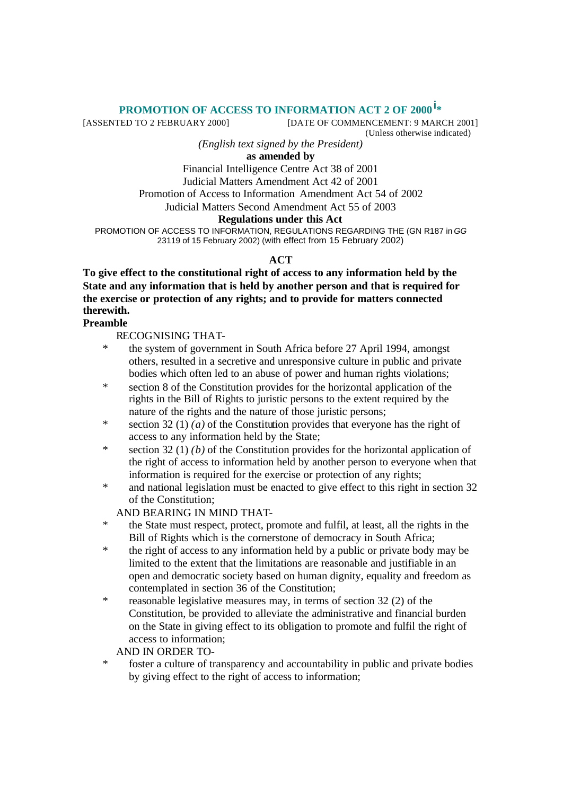# **PROMOTION OF ACCESS TO INFORMATION ACT 2 OF 2000<sup>i</sup> \***

[ASSENTED TO 2 FEBRUARY 2000] [DATE OF COMMENCEMENT: 9 MARCH 2001] (Unless otherwise indicated)

*(English text signed by the President)*

**as amended by**

Financial Intelligence Centre Act 38 of 2001

Judicial Matters Amendment Act 42 of 2001

Promotion of Access to Information Amendment Act 54 of 2002

Judicial Matters Second Amendment Act 55 of 2003

## **Regulations under this Act**

PROMOTION OF ACCESS TO INFORMATION, REGULATIONS REGARDING THE (GN R187 in *GG* 23119 of 15 February 2002) (with effect from 15 February 2002)

# **ACT**

**To give effect to the constitutional right of access to any information held by the State and any information that is held by another person and that is required for the exercise or protection of any rights; and to provide for matters connected therewith.**

# **Preamble**

RECOGNISING THAT-

- the system of government in South Africa before 27 April 1994, amongst others, resulted in a secretive and unresponsive culture in public and private bodies which often led to an abuse of power and human rights violations;
- \* section 8 of the Constitution provides for the horizontal application of the rights in the Bill of Rights to juristic persons to the extent required by the nature of the rights and the nature of those juristic persons;
- \* section 32 (1) *(a)* of the Constitution provides that everyone has the right of access to any information held by the State;
- section 32 (1)  $(b)$  of the Constitution provides for the horizontal application of the right of access to information held by another person to everyone when that information is required for the exercise or protection of any rights;
- \* and national legislation must be enacted to give effect to this right in section 32 of the Constitution;
- AND BEARING IN MIND THAT-
- \* the State must respect, protect, promote and fulfil, at least, all the rights in the Bill of Rights which is the cornerstone of democracy in South Africa;
- \* the right of access to any information held by a public or private body may be limited to the extent that the limitations are reasonable and justifiable in an open and democratic society based on human dignity, equality and freedom as contemplated in section 36 of the Constitution;
- reasonable legislative measures may, in terms of section 32 (2) of the Constitution, be provided to alleviate the administrative and financial burden on the State in giving effect to its obligation to promote and fulfil the right of access to information;
	- AND IN ORDER TO-
- \* foster a culture of transparency and accountability in public and private bodies by giving effect to the right of access to information;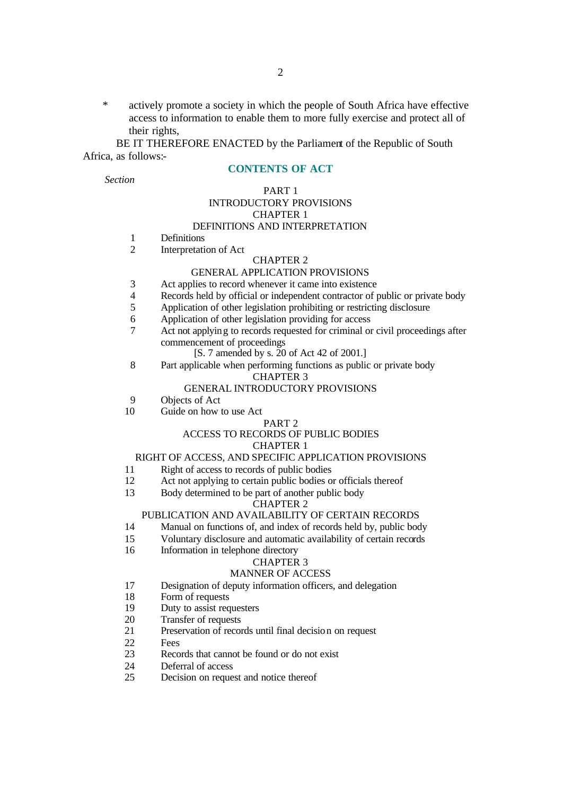\* actively promote a society in which the people of South Africa have effective access to information to enable them to more fully exercise and protect all of their rights,

BE IT THEREFORE ENACTED by the Parliament of the Republic of South Africa, as follows:-

## **CONTENTS OF ACT**

*Section*

# PART 1 INTRODUCTORY PROVISIONS CHAPTER 1

#### DEFINITIONS AND INTERPRETATION

- 1 Definitions
- 2 Interpretation of Act

#### CHAPTER 2

#### GENERAL APPLICATION PROVISIONS

- 3 Act applies to record whenever it came into existence
- 4 Records held by official or independent contractor of public or private body<br>5 Application of other legislation prohibiting or restricting disclosure
- 5 Application of other legislation prohibiting or restricting disclosure
- 6 Application of other legislation providing for access
- 7 Act not applying to records requested for criminal or civil proceedings after commencement of proceedings
	- [S. 7 amended by s. 20 of Act 42 of 2001.]
- 8 Part applicable when performing functions as public or private body

# CHAPTER 3

# GENERAL INTRODUCTORY PROVISIONS

- 9 Objects of Act
- 10 Guide on how to use Act

#### PART 2

# ACCESS TO RECORDS OF PUBLIC BODIES

#### CHAPTER 1

#### RIGHT OF ACCESS, AND SPECIFIC APPLICATION PROVISIONS

- 11 Right of access to records of public bodies
- 12 Act not applying to certain public bodies or officials thereof
- 13 Body determined to be part of another public body

#### CHAPTER<sub>2</sub>

#### PUBLICATION AND AVAILABILITY OF CERTAIN RECORDS

- 14 Manual on functions of, and index of records held by, public body
- 15 Voluntary disclosure and automatic availability of certain records
- 16 Information in telephone directory

# CHAPTER 3

# MANNER OF ACCESS

- 17 Designation of deputy information officers, and delegation
- 18 Form of requests
- 19 Duty to assist requesters
- 20 Transfer of requests
- 21 Preservation of records until final decision on request
- 22 Fees
- 23 Records that cannot be found or do not exist
- 24 Deferral of access
- 25 Decision on request and notice thereof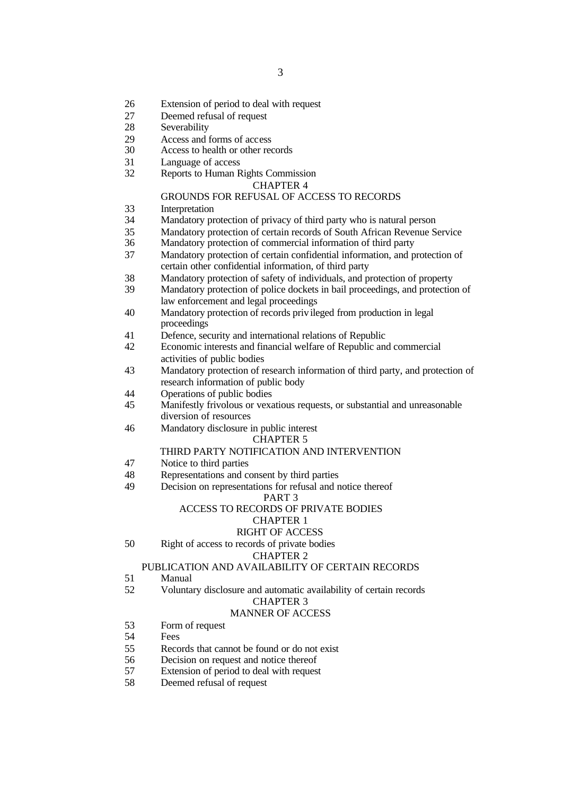- Extension of period to deal with request
- Deemed refusal of request
- Severability
- 29 Access and forms of access<br>30 Access to health or other rec
- Access to health or other records
- Language of access
- Reports to Human Rights Commission

#### CHAPTER 4

# GROUNDS FOR REFUSAL OF ACCESS TO RECORDS

- Interpretation
- Mandatory protection of privacy of third party who is natural person
- Mandatory protection of certain records of South African Revenue Service
- Mandatory protection of commercial information of third party
- Mandatory protection of certain confidential information, and protection of certain other confidential information, of third party
- Mandatory protection of safety of individuals, and protection of property
- Mandatory protection of police dockets in bail proceedings, and protection of law enforcement and legal proceedings
- Mandatory protection of records priv ileged from production in legal proceedings
- Defence, security and international relations of Republic
- Economic interests and financial welfare of Republic and commercial activities of public bodies
- Mandatory protection of research information of third party, and protection of research information of public body
- Operations of public bodies
- Manifestly frivolous or vexatious requests, or substantial and unreasonable diversion of resources
- Mandatory disclosure in public interest

#### CHAPTER 5

#### THIRD PARTY NOTIFICATION AND INTERVENTION

- Notice to third parties
- Representations and consent by third parties
- Decision on representations for refusal and notice thereof

#### PART 3

#### ACCESS TO RECORDS OF PRIVATE BODIES

#### CHAPTER 1

#### RIGHT OF ACCESS

Right of access to records of private bodies

#### CHAPTER 2

# PUBLICATION AND AVAILABILITY OF CERTAIN RECORDS

- Manual
- Voluntary disclosure and automatic availability of certain records

#### CHAPTER 3

#### MANNER OF ACCESS

- Form of request
- Fees
- Records that cannot be found or do not exist
- Decision on request and notice thereof
- Extension of period to deal with request
- Deemed refusal of request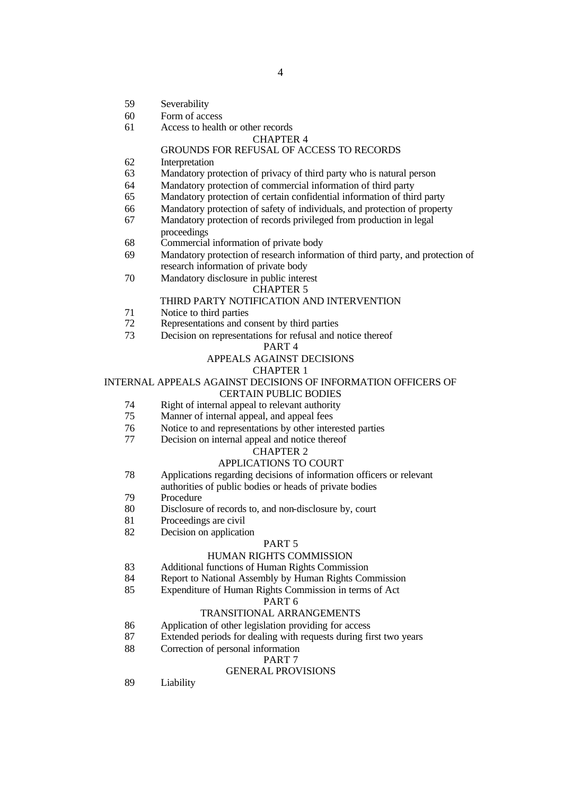- 
- Severability
- Form of access
- Access to health or other records

#### CHAPTER 4

# GROUNDS FOR REFUSAL OF ACCESS TO RECORDS

- Interpretation
- Mandatory protection of privacy of third party who is natural person
- Mandatory protection of commercial information of third party
- Mandatory protection of certain confidential information of third party
- Mandatory protection of safety of individuals, and protection of property
- Mandatory protection of records privileged from production in legal proceedings
- Commercial information of private body
- Mandatory protection of research information of third party, and protection of research information of private body
- Mandatory disclosure in public interest CHAPTER 5

#### THIRD PARTY NOTIFICATION AND INTERVENTION

- Notice to third parties
- Representations and consent by third parties
- Decision on representations for refusal and notice thereof

#### PART 4

# APPEALS AGAINST DECISIONS

# CHAPTER 1

### INTERNAL APPEALS AGAINST DECISIONS OF INFORMATION OFFICERS OF

#### CERTAIN PUBLIC BODIES

- Right of internal appeal to relevant authority
- Manner of internal appeal, and appeal fees
- Notice to and representations by other interested parties
- Decision on internal appeal and notice thereof

#### CHAPTER 2

#### APPLICATIONS TO COURT

Applications regarding decisions of information officers or relevant

authorities of public bodies or heads of private bodies

- Procedure
- Disclosure of records to, and non-disclosure by, court
- Proceedings are civil
- Decision on application

#### PART 5

## HUMAN RIGHTS COMMISSION

- Additional functions of Human Rights Commission
- Report to National Assembly by Human Rights Commission
- Expenditure of Human Rights Commission in terms of Act

#### PART 6

# TRANSITIONAL ARRANGEMENTS

- Application of other legislation providing for access
- Extended periods for dealing with requests during first two years
- Correction of personal information

# PART 7

### GENERAL PROVISIONS

Liability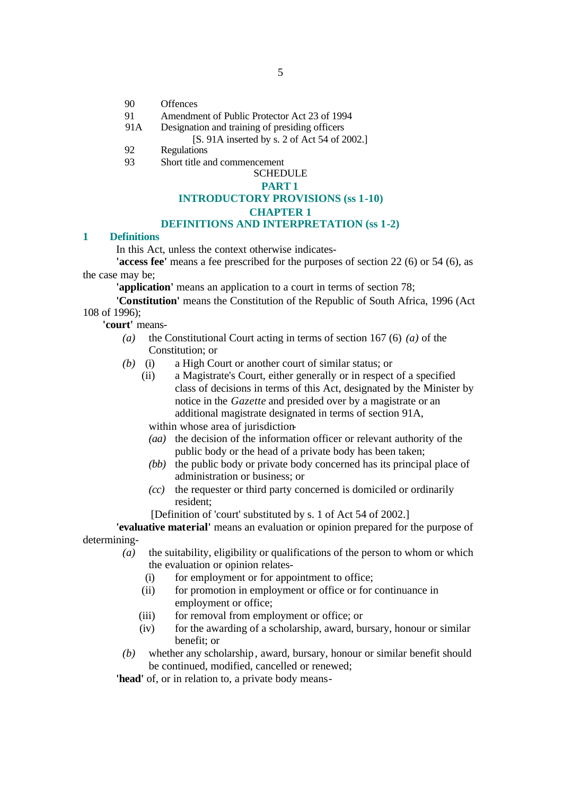- 90 Offences
- 91 Amendment of Public Protector Act 23 of 1994
- 91A Designation and training of presiding officers
	- [S. 91A inserted by s. 2 of Act 54 of 2002.]
- 92 Regulations
- 93 Short title and commencement

#### SCHEDULE

#### **PART 1**

#### **INTRODUCTORY PROVISIONS (ss 1-10)**

#### **CHAPTER 1**

#### **DEFINITIONS AND INTERPRETATION (ss 1-2)**

#### **1 Definitions**

In this Act, unless the context otherwise indicates-

**'access fee'** means a fee prescribed for the purposes of section 22 (6) or 54 (6), as the case may be;

**'application'** means an application to a court in terms of section 78;

**'Constitution'** means the Constitution of the Republic of South Africa, 1996 (Act 108 of 1996);

**'court'** means-

- *(a)* the Constitutional Court acting in terms of section 167 (6) *(a)* of the Constitution; or
- *(b)* (i) a High Court or another court of similar status; or
	- (ii) a Magistrate's Court, either generally or in respect of a specified class of decisions in terms of this Act, designated by the Minister by notice in the *Gazette* and presided over by a magistrate or an additional magistrate designated in terms of section 91A,

within whose area of jurisdiction-

- *(aa)* the decision of the information officer or relevant authority of the public body or the head of a private body has been taken;
- *(bb)* the public body or private body concerned has its principal place of administration or business; or
- *(cc)* the requester or third party concerned is domiciled or ordinarily resident;

[Definition of 'court' substituted by s. 1 of Act 54 of 2002.]

**'evaluative material'** means an evaluation or opinion prepared for the purpose of determining-

- *(a)* the suitability, eligibility or qualifications of the person to whom or which the evaluation or opinion relates-
	- (i) for employment or for appointment to office;
	- (ii) for promotion in employment or office or for continuance in employment or office;
	- (iii) for removal from employment or office; or
	- $(iv)$  for the awarding of a scholarship, award, bursary, honour or similar benefit; or
- *(b)* whether any scholarship, award, bursary, honour or similar benefit should be continued, modified, cancelled or renewed;

**'head'** of, or in relation to, a private body means-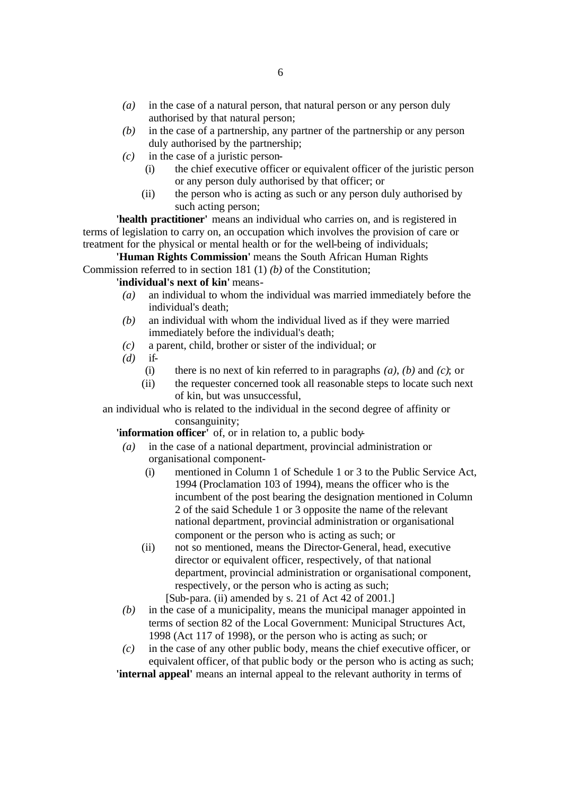- *(a)* in the case of a natural person, that natural person or any person duly authorised by that natural person;
- *(b)* in the case of a partnership, any partner of the partnership or any person duly authorised by the partnership;
- *(c)* in the case of a juristic person-
	- (i) the chief executive officer or equivalent officer of the juristic person or any person duly authorised by that officer; or
	- (ii) the person who is acting as such or any person duly authorised by such acting person;

**'health practitioner'** means an individual who carries on, and is registered in terms of legislation to carry on, an occupation which involves the provision of care or treatment for the physical or mental health or for the well-being of individuals;

**'Human Rights Commission'** means the South African Human Rights Commission referred to in section 181 (1) *(b)* of the Constitution;

#### **'individual's next of kin'** means-

- *(a)* an individual to whom the individual was married immediately before the individual's death;
- *(b)* an individual with whom the individual lived as if they were married immediately before the individual's death;
- *(c)* a parent, child, brother or sister of the individual; or
- *(d)* if-
	- (i) there is no next of kin referred to in paragraphs *(a)*, *(b)* and *(c)*; or
	- (ii) the requester concerned took all reasonable steps to locate such next of kin, but was unsuccessful,

an individual who is related to the individual in the second degree of affinity or consanguinity;

**'information officer'** of, or in relation to, a public body-

- *(a)* in the case of a national department, provincial administration or organisational component-
	- (i) mentioned in Column 1 of Schedule 1 or 3 to the Public Service Act, 1994 (Proclamation 103 of 1994), means the officer who is the incumbent of the post bearing the designation mentioned in Column 2 of the said Schedule 1 or 3 opposite the name of the relevant national department, provincial administration or organisational component or the person who is acting as such; or
	- (ii) not so mentioned, means the Director-General, head, executive director or equivalent officer, respectively, of that national department, provincial administration or organisational component, respectively, or the person who is acting as such;

[Sub-para. (ii) amended by s. 21 of Act 42 of 2001.]

- *(b)* in the case of a municipality, means the municipal manager appointed in terms of section 82 of the Local Government: Municipal Structures Act, 1998 (Act 117 of 1998), or the person who is acting as such; or
- *(c)* in the case of any other public body, means the chief executive officer, or equivalent officer, of that public body or the person who is acting as such; **'internal appeal'** means an internal appeal to the relevant authority in terms of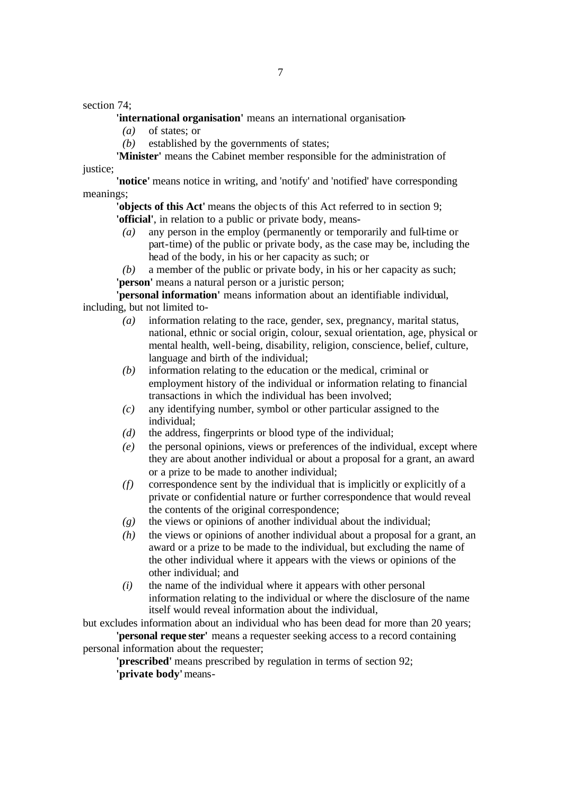section 74;

**'international organisation'** means an international organisation-

- *(a)* of states; or
- *(b)* established by the governments of states;
- **'Minister'** means the Cabinet member responsible for the administration of justice;

**'notice'** means notice in writing, and 'notify' and 'notified' have corresponding meanings;

**'objects of this Act'** means the objec ts of this Act referred to in section 9; **'official'**, in relation to a public or private body, means-

- *(a)* any person in the employ (permanently or temporarily and full-time or part-time) of the public or private body, as the case may be, including the head of the body, in his or her capacity as such; or
- *(b)* a member of the public or private body, in his or her capacity as such; **'person'** means a natural person or a juristic person;

**'personal information'** means information about an identifiable individual, including, but not limited to-

- *(a)* information relating to the race, gender, sex, pregnancy, marital status, national, ethnic or social origin, colour, sexual orientation, age, physical or mental health, well-being, disability, religion, conscience, belief, culture, language and birth of the individual;
- *(b)* information relating to the education or the medical, criminal or employment history of the individual or information relating to financial transactions in which the individual has been involved;
- *(c)* any identifying number, symbol or other particular assigned to the individual;
- *(d)* the address, fingerprints or blood type of the individual;
- *(e)* the personal opinions, views or preferences of the individual, except where they are about another individual or about a proposal for a grant, an award or a prize to be made to another individual;
- *(f)* correspondence sent by the individual that is implicitly or explicitly of a private or confidential nature or further correspondence that would reveal the contents of the original correspondence;
- *(g)* the views or opinions of another individual about the individual;
- *(h)* the views or opinions of another individual about a proposal for a grant, an award or a prize to be made to the individual, but excluding the name of the other individual where it appears with the views or opinions of the other individual; and
- *(i)* the name of the individual where it appears with other personal information relating to the individual or where the disclosure of the name itself would reveal information about the individual,

but excludes information about an individual who has been dead for more than 20 years;

**'personal reque ster'** means a requester seeking access to a record containing personal information about the requester;

**'prescribed'** means prescribed by regulation in terms of section 92; **'private body'** means-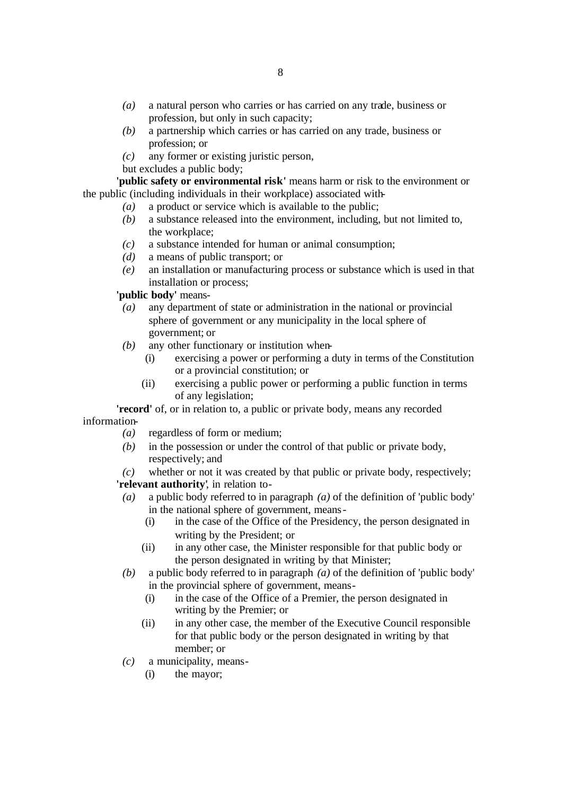- *(a)* a natural person who carries or has carried on any trade, business or profession, but only in such capacity;
- *(b)* a partnership which carries or has carried on any trade, business or profession; or
- *(c)* any former or existing juristic person,

but excludes a public body;

**'public safety or environmental risk'** means harm or risk to the environment or the public (including individuals in their workplace) associated with-

- *(a)* a product or service which is available to the public;
- *(b)* a substance released into the environment, including, but not limited to, the workplace;
- *(c)* a substance intended for human or animal consumption;
- *(d)* a means of public transport; or
- *(e)* an installation or manufacturing process or substance which is used in that installation or process;

# **'public body'** means-

- *(a)* any department of state or administration in the national or provincial sphere of government or any municipality in the local sphere of government; or
- *(b)* any other functionary or institution when-
	- (i) exercising a power or performing a duty in terms of the Constitution or a provincial constitution; or
	- (ii) exercising a public power or performing a public function in terms of any legislation;

**'record'** of, or in relation to, a public or private body, means any recorded information-

- *(a)* regardless of form or medium;
- *(b)* in the possession or under the control of that public or private body, respectively; and
- *(c)* whether or not it was created by that public or private body, respectively; **'relevant authority'**, in relation to-
- *(a)* a public body referred to in paragraph *(a)* of the definition of 'public body' in the national sphere of government, means-
	- (i) in the case of the Office of the Presidency, the person designated in writing by the President; or
	- (ii) in any other case, the Minister responsible for that public body or the person designated in writing by that Minister;
- *(b)* a public body referred to in paragraph *(a)* of the definition of 'public body' in the provincial sphere of government, means-
	- (i) in the case of the Office of a Premier, the person designated in writing by the Premier; or
	- (ii) in any other case, the member of the Executive Council responsible for that public body or the person designated in writing by that member; or
- *(c)* a municipality, means-
	- (i) the mayor;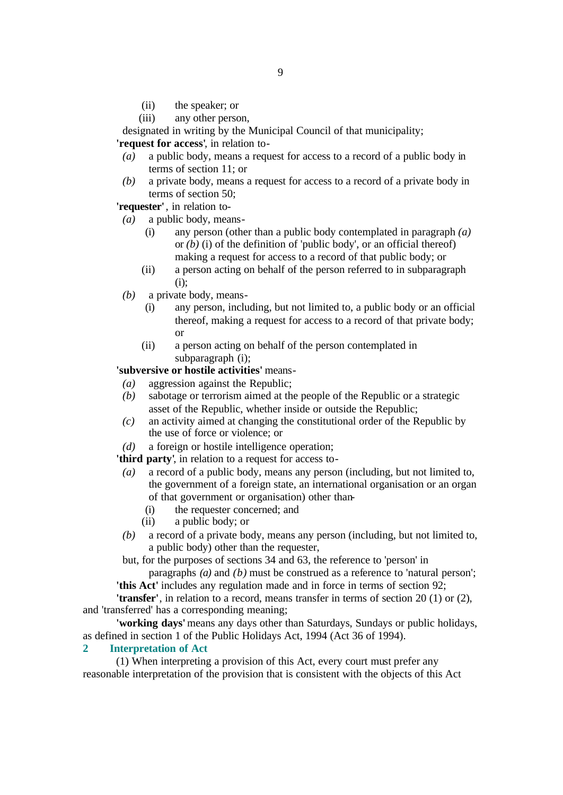- (ii) the speaker; or
- (iii) any other person,

designated in writing by the Municipal Council of that municipality;

**'request for access'**, in relation to-

- *(a)* a public body, means a request for access to a record of a public body in terms of section 11; or
- *(b)* a private body, means a request for access to a record of a private body in terms of section 50;

**'requester'**, in relation to-

- *(a)* a public body, means-
	- (i) any person (other than a public body contemplated in paragraph *(a)* or *(b)* (i) of the definition of 'public body', or an official thereof) making a request for access to a record of that public body; or
	- (ii) a person acting on behalf of the person referred to in subparagraph (i);
- *(b)* a private body, means-
	- (i) any person, including, but not limited to, a public body or an official thereof, making a request for access to a record of that private body; or
	- (ii) a person acting on behalf of the person contemplated in subparagraph (i);

# **'subversive or hostile activities'** means-

- *(a)* aggression against the Republic;
- *(b)* sabotage or terrorism aimed at the people of the Republic or a strategic asset of the Republic, whether inside or outside the Republic;
- *(c)* an activity aimed at changing the constitutional order of the Republic by the use of force or violence; or
- *(d)* a foreign or hostile intelligence operation;

**'third party'**, in relation to a request for access to-

- *(a)* a record of a public body, means any person (including, but not limited to, the government of a foreign state, an international organisation or an organ of that government or organisation) other than-
	- (i) the requester concerned; and
	- (ii) a public body; or
- *(b)* a record of a private body, means any person (including, but not limited to, a public body) other than the requester,
- but, for the purposes of sections 34 and 63, the reference to 'person' in paragraphs *(a)* and *(b)* must be construed as a reference to 'natural person';

**'this Act'** includes any regulation made and in force in terms of section 92;

**'transfer'**, in relation to a record, means transfer in terms of section 20 (1) or (2), and 'transferred' has a corresponding meaning;

**'working days'** means any days other than Saturdays, Sundays or public holidays, as defined in section 1 of the Public Holidays Act, 1994 (Act 36 of 1994).

#### **2 Interpretation of Act**

(1) When interpreting a provision of this Act, every court must prefer any reasonable interpretation of the provision that is consistent with the objects of this Act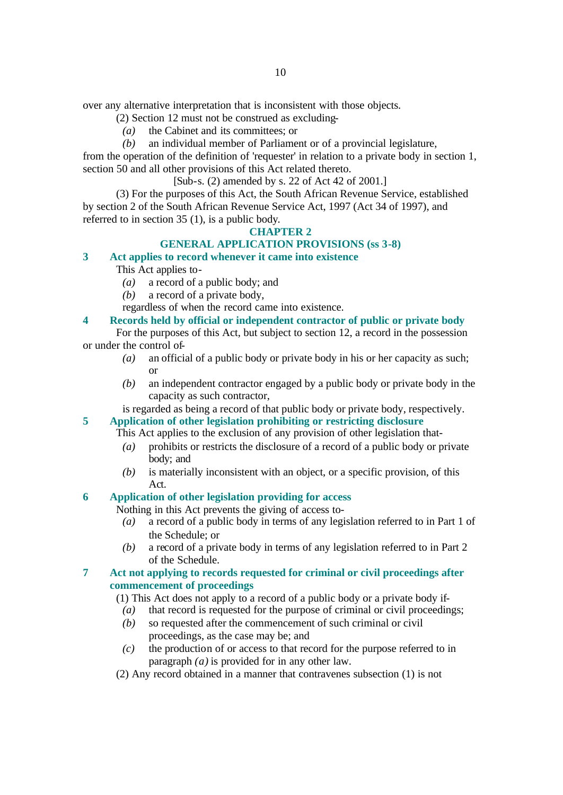over any alternative interpretation that is inconsistent with those objects.

- (2) Section 12 must not be construed as excluding-
	- *(a)* the Cabinet and its committees; or
- *(b)* an individual member of Parliament or of a provincial legislature,

from the operation of the definition of 'requester' in relation to a private body in section 1, section 50 and all other provisions of this Act related thereto.

[Sub-s. (2) amended by s. 22 of Act 42 of 2001.]

(3) For the purposes of this Act, the South African Revenue Service, established by section 2 of the South African Revenue Service Act, 1997 (Act 34 of 1997), and referred to in section 35 (1), is a public body.

# **CHAPTER 2**

# **GENERAL APPLICATION PROVISIONS (ss 3-8)**

# **3 Act applies to record whenever it came into existence**

This Act applies to-

- *(a)* a record of a public body; and
- *(b)* a record of a private body,
- regardless of when the record came into existence.

# **4 Records held by official or independent contractor of public or private body**

For the purposes of this Act, but subject to section 12, a record in the possession or under the control of-

- *(a)* an official of a public body or private body in his or her capacity as such; or
- *(b)* an independent contractor engaged by a public body or private body in the capacity as such contractor,

is regarded as being a record of that public body or private body, respectively.

**5 Application of other legislation prohibiting or restricting disclosure**

This Act applies to the exclusion of any provision of other legislation that-

- *(a)* prohibits or restricts the disclosure of a record of a public body or private body; and
- *(b)* is materially inconsistent with an object, or a specific provision, of this Act.

#### **6 Application of other legislation providing for access**

- Nothing in this Act prevents the giving of access to-
	- *(a)* a record of a public body in terms of any legislation referred to in Part 1 of the Schedule; or
	- *(b)* a record of a private body in terms of any legislation referred to in Part 2 of the Schedule.

# **7 Act not applying to records requested for criminal or civil proceedings after commencement of proceedings**

(1) This Act does not apply to a record of a public body or a private body if-

- *(a)* that record is requested for the purpose of criminal or civil proceedings;
- *(b)* so requested after the commencement of such criminal or civil
- proceedings, as the case may be; and *(c)* the production of or access to that record for the purpose referred to in
- paragraph *(a)* is provided for in any other law.
- (2) Any record obtained in a manner that contravenes subsection (1) is not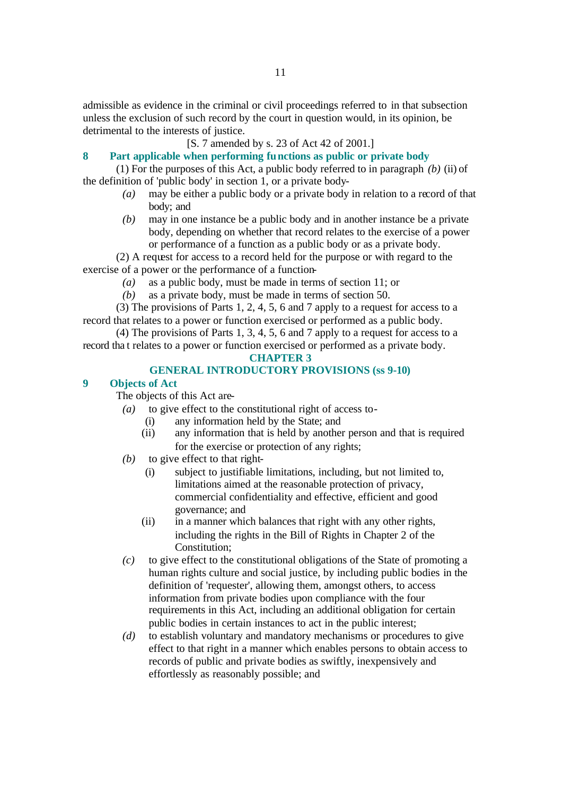admissible as evidence in the criminal or civil proceedings referred to in that subsection unless the exclusion of such record by the court in question would, in its opinion, be detrimental to the interests of justice.

# [S. 7 amended by s. 23 of Act 42 of 2001.]

# **8 Part applicable when performing functions as public or private body**

(1) For the purposes of this Act, a public body referred to in paragraph *(b)* (ii) of the definition of 'public body' in section 1, or a private body-

- *(a)* may be either a public body or a private body in relation to a record of that body; and
- *(b)* may in one instance be a public body and in another instance be a private body, depending on whether that record relates to the exercise of a power or performance of a function as a public body or as a private body.

(2) A request for access to a record held for the purpose or with regard to the exercise of a power or the performance of a function-

- *(a)* as a public body, must be made in terms of section 11; or
- *(b)* as a private body, must be made in terms of section 50.

(3) The provisions of Parts 1, 2, 4, 5, 6 and 7 apply to a request for access to a record that relates to a power or function exercised or performed as a public body.

(4) The provisions of Parts 1, 3, 4, 5, 6 and 7 apply to a request for access to a record tha t relates to a power or function exercised or performed as a private body.

#### **CHAPTER 3**

## **GENERAL INTRODUCTORY PROVISIONS (ss 9-10)**

#### **9 Objects of Act**

The objects of this Act are-

- *(a)* to give effect to the constitutional right of access to-
	- (i) any information held by the State; and
	- (ii) any information that is held by another person and that is required for the exercise or protection of any rights;
- *(b)* to give effect to that right-
	- (i) subject to justifiable limitations, including, but not limited to, limitations aimed at the reasonable protection of privacy, commercial confidentiality and effective, efficient and good governance; and
	- (ii) in a manner which balances that right with any other rights, including the rights in the Bill of Rights in Chapter 2 of the Constitution;
- *(c)* to give effect to the constitutional obligations of the State of promoting a human rights culture and social justice, by including public bodies in the definition of 'requester', allowing them, amongst others, to access information from private bodies upon compliance with the four requirements in this Act, including an additional obligation for certain public bodies in certain instances to act in the public interest;
- *(d)* to establish voluntary and mandatory mechanisms or procedures to give effect to that right in a manner which enables persons to obtain access to records of public and private bodies as swiftly, inexpensively and effortlessly as reasonably possible; and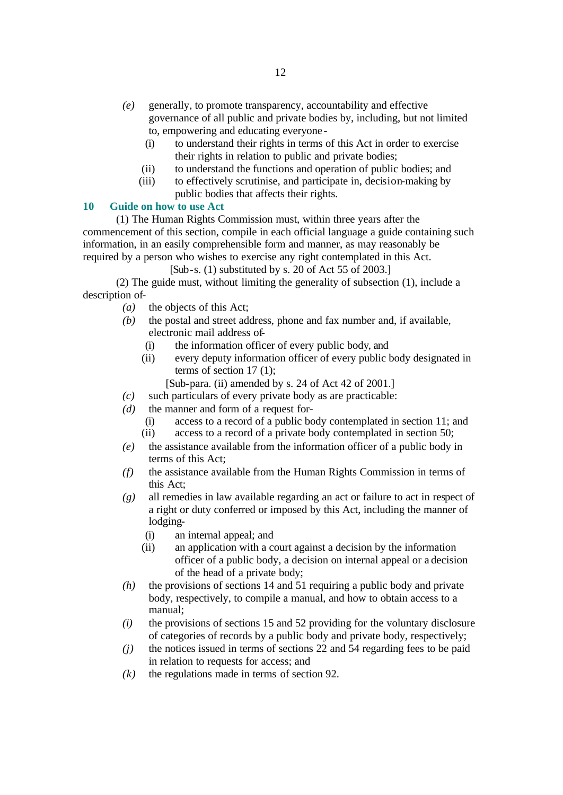- *(e)* generally, to promote transparency, accountability and effective governance of all public and private bodies by, including, but not limited to, empowering and educating everyone -
	- (i) to understand their rights in terms of this Act in order to exercise their rights in relation to public and private bodies;
	- (ii) to understand the functions and operation of public bodies; and
	- (iii) to effectively scrutinise, and participate in, decision-making by public bodies that affects their rights.

#### **10 Guide on how to use Act**

(1) The Human Rights Commission must, within three years after the commencement of this section, compile in each official language a guide containing such information, in an easily comprehensible form and manner, as may reasonably be required by a person who wishes to exercise any right contemplated in this Act.

[Sub-s. (1) substituted by s. 20 of Act 55 of 2003.]

(2) The guide must, without limiting the generality of subsection (1), include a description of-

- *(a)* the objects of this Act;
- *(b)* the postal and street address, phone and fax number and, if available, electronic mail address of-
	- (i) the information officer of every public body, and
	- (ii) every deputy information officer of every public body designated in terms of section 17 (1);
		- [Sub-para. (ii) amended by s. 24 of Act 42 of 2001.]
- *(c)* such particulars of every private body as are practicable:
- *(d)* the manner and form of a request for-
	- (i) access to a record of a public body contemplated in section 11; and (ii) access to a record of a private body contemplated in section 50;
- *(e)* the assistance available from the information officer of a public body in terms of this Act;
- *(f)* the assistance available from the Human Rights Commission in terms of this Act;
- *(g)* all remedies in law available regarding an act or failure to act in respect of a right or duty conferred or imposed by this Act, including the manner of lodging-
	- (i) an internal appeal; and
	- (ii) an application with a court against a decision by the information officer of a public body, a decision on internal appeal or a decision of the head of a private body;
- *(h)* the provisions of sections 14 and 51 requiring a public body and private body, respectively, to compile a manual, and how to obtain access to a manual;
- *(i)* the provisions of sections 15 and 52 providing for the voluntary disclosure of categories of records by a public body and private body, respectively;
- *(j)* the notices issued in terms of sections 22 and 54 regarding fees to be paid in relation to requests for access; and
- *(k)* the regulations made in terms of section 92.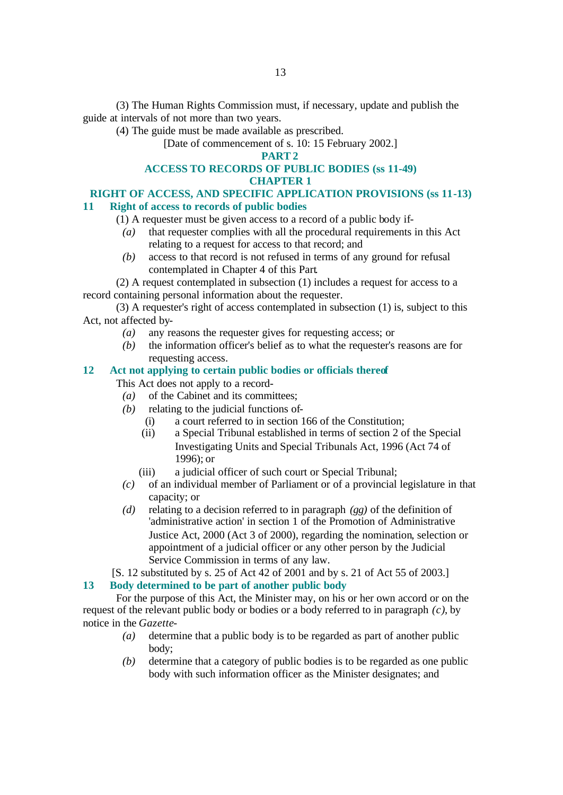(3) The Human Rights Commission must, if necessary, update and publish the guide at intervals of not more than two years.

(4) The guide must be made available as prescribed.

[Date of commencement of s. 10: 15 February 2002.]

#### **PART 2**

#### **ACCESS TO RECORDS OF PUBLIC BODIES (ss 11-49) CHAPTER 1**

# **RIGHT OF ACCESS, AND SPECIFIC APPLICATION PROVISIONS (ss 11-13) 11 Right of access to records of public bodies**

(1) A requester must be given access to a record of a public body if-

- *(a)* that requester complies with all the procedural requirements in this Act relating to a request for access to that record; and
- *(b)* access to that record is not refused in terms of any ground for refusal contemplated in Chapter 4 of this Part.

(2) A request contemplated in subsection (1) includes a request for access to a record containing personal information about the requester.

(3) A requester's right of access contemplated in subsection (1) is, subject to this Act, not affected by-

- *(a)* any reasons the requester gives for requesting access; or
- *(b)* the information officer's belief as to what the requester's reasons are for requesting access.

# **12 Act not applying to certain public bodies or officials thereof**

This Act does not apply to a record-

- *(a)* of the Cabinet and its committees;
- *(b)* relating to the judicial functions of-
	- (i) a court referred to in section 166 of the Constitution;
	- (ii) a Special Tribunal established in terms of section 2 of the Special Investigating Units and Special Tribunals Act, 1996 (Act 74 of 1996); or
	- (iii) a judicial officer of such court or Special Tribunal;
- *(c)* of an individual member of Parliament or of a provincial legislature in that capacity; or
- *(d)* relating to a decision referred to in paragraph *(gg)* of the definition of 'administrative action' in section 1 of the Promotion of Administrative Justice Act, 2000 (Act 3 of 2000), regarding the nomination, selection or appointment of a judicial officer or any other person by the Judicial Service Commission in terms of any law.

[S. 12 substituted by s. 25 of Act 42 of 2001 and by s. 21 of Act 55 of 2003.]

# **13 Body determined to be part of another public body**

For the purpose of this Act, the Minister may, on his or her own accord or on the request of the relevant public body or bodies or a body referred to in paragraph *(c)*, by notice in the *Gazette*-

- *(a)* determine that a public body is to be regarded as part of another public body;
- *(b)* determine that a category of public bodies is to be regarded as one public body with such information officer as the Minister designates; and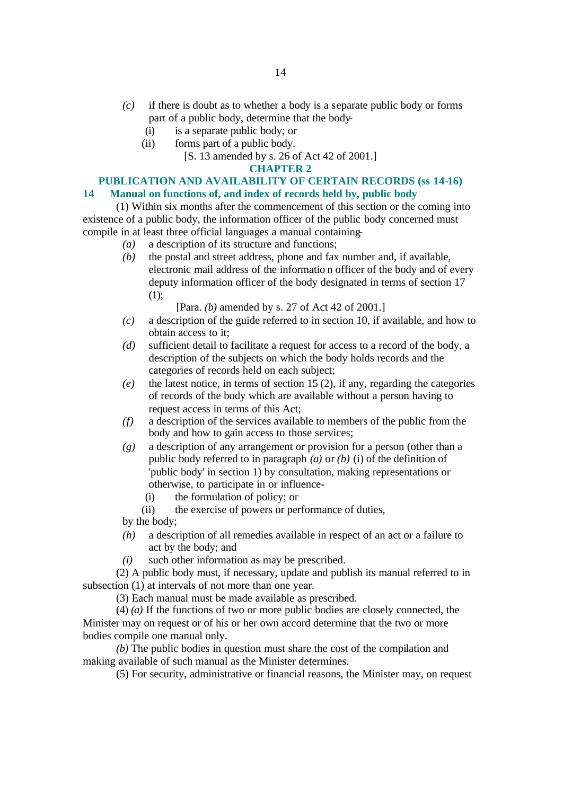- *(c)* if there is doubt as to whether a body is a separate public body or forms part of a public body, determine that the body-
	- (i) is a separate public body; or
	- (ii) forms part of a public body.
		- [S. 13 amended by s. 26 of Act 42 of 2001.]

#### **CHAPTER 2**

# **PUBLICATION AND AVAILABILITY OF CERTAIN RECORDS (ss 14-16)**

#### **14 Manual on functions of, and index of records held by, public body**

(1) Within six months after the commencement of this section or the coming into existence of a public body, the information officer of the public body concerned must compile in at least three official languages a manual containing-

- *(a)* a description of its structure and functions;
- *(b)* the postal and street address, phone and fax number and, if available, electronic mail address of the informatio n officer of the body and of every deputy information officer of the body designated in terms of section 17  $(1)$ :

[Para. *(b)* amended by s. 27 of Act 42 of 2001.]

- *(c)* a description of the guide referred to in section 10, if available, and how to obtain access to it;
- *(d)* sufficient detail to facilitate a request for access to a record of the body, a description of the subjects on which the body holds records and the categories of records held on each subject;
- *(e)* the latest notice, in terms of section 15 (2), if any, regarding the categories of records of the body which are available without a person having to request access in terms of this Act;
- *(f)* a description of the services available to members of the public from the body and how to gain access to those services;
- *(g)* a description of any arrangement or provision for a person (other than a public body referred to in paragraph *(a)* or *(b)* (i) of the definition of 'public body' in section 1) by consultation, making representations or otherwise, to participate in or influence-
	- (i) the formulation of policy; or
	- (ii) the exercise of powers or performance of duties,

by the body;

- *(h)* a description of all remedies available in respect of an act or a failure to act by the body; and
- *(i)* such other information as may be prescribed.

(2) A public body must, if necessary, update and publish its manual referred to in subsection (1) at intervals of not more than one year.

(3) Each manual must be made available as prescribed.

(4) *(a)* If the functions of two or more public bodies are closely connected, the Minister may on request or of his or her own accord determine that the two or more bodies compile one manual only.

*(b)* The public bodies in question must share the cost of the compilation and making available of such manual as the Minister determines.

(5) For security, administrative or financial reasons, the Minister may, on request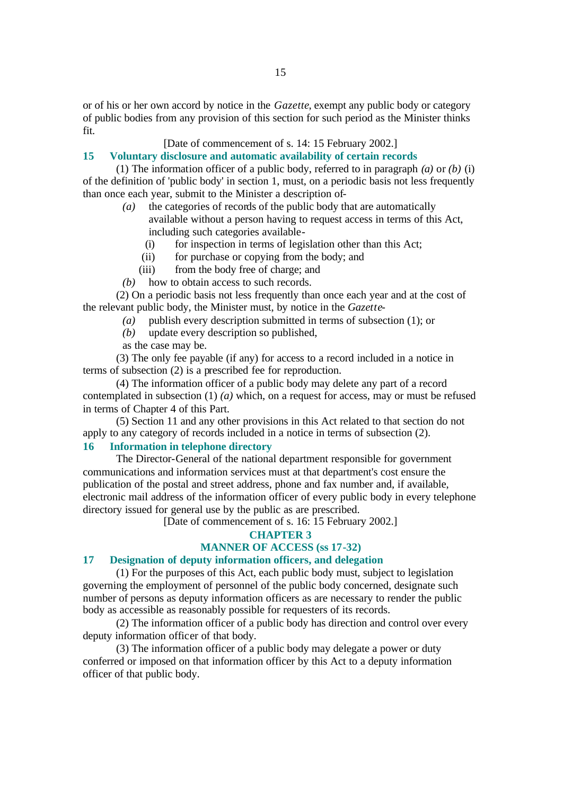or of his or her own accord by notice in the *Gazette*, exempt any public body or category of public bodies from any provision of this section for such period as the Minister thinks fit.

[Date of commencement of s. 14: 15 February 2002.]

## **15 Voluntary disclosure and automatic availability of certain records**

(1) The information officer of a public body, referred to in paragraph *(a)* or *(b)* (i) of the definition of 'public body' in section 1, must, on a periodic basis not less frequently than once each year, submit to the Minister a description of-

- *(a)* the categories of records of the public body that are automatically available without a person having to request access in terms of this Act, including such categories available-
	- (i) for inspection in terms of legislation other than this Act;
	- (ii) for purchase or copying from the body; and
	- (iii) from the body free of charge; and
- *(b)* how to obtain access to such records.

(2) On a periodic basis not less frequently than once each year and at the cost of the relevant public body, the Minister must, by notice in the *Gazette*-

- *(a)* publish every description submitted in terms of subsection (1); or
- *(b)* update every description so published,

as the case may be.

(3) The only fee payable (if any) for access to a record included in a notice in terms of subsection (2) is a prescribed fee for reproduction.

(4) The information officer of a public body may delete any part of a record contemplated in subsection (1) *(a)* which, on a request for access, may or must be refused in terms of Chapter 4 of this Part.

(5) Section 11 and any other provisions in this Act related to that section do not apply to any category of records included in a notice in terms of subsection (2).

## **16 Information in telephone directory**

The Director-General of the national department responsible for government communications and information services must at that department's cost ensure the publication of the postal and street address, phone and fax number and, if available, electronic mail address of the information officer of every public body in every telephone directory issued for general use by the public as are prescribed.

[Date of commencement of s. 16: 15 February 2002.]

# **CHAPTER 3**

# **MANNER OF ACCESS (ss 17-32)**

#### **17 Designation of deputy information officers, and delegation**

(1) For the purposes of this Act, each public body must, subject to legislation governing the employment of personnel of the public body concerned, designate such number of persons as deputy information officers as are necessary to render the public body as accessible as reasonably possible for requesters of its records.

(2) The information officer of a public body has direction and control over every deputy information officer of that body.

(3) The information officer of a public body may delegate a power or duty conferred or imposed on that information officer by this Act to a deputy information officer of that public body.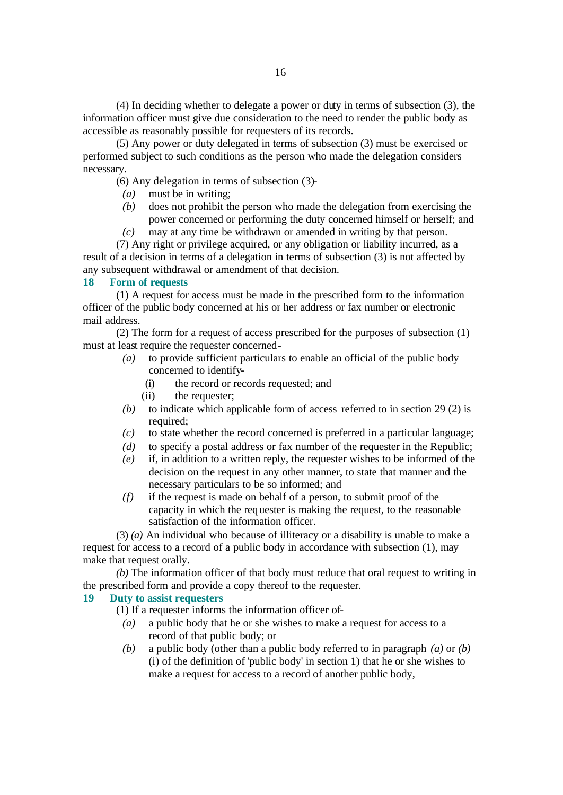(4) In deciding whether to delegate a power or duty in terms of subsection (3), the information officer must give due consideration to the need to render the public body as accessible as reasonably possible for requesters of its records.

(5) Any power or duty delegated in terms of subsection (3) must be exercised or performed subject to such conditions as the person who made the delegation considers necessary.

(6) Any delegation in terms of subsection (3)-

- *(a)* must be in writing;
- *(b)* does not prohibit the person who made the delegation from exercising the power concerned or performing the duty concerned himself or herself; and

*(c)* may at any time be withdrawn or amended in writing by that person.

(7) Any right or privilege acquired, or any obligation or liability incurred, as a result of a decision in terms of a delegation in terms of subsection (3) is not affected by any subsequent withdrawal or amendment of that decision.

#### **18 Form of requests**

(1) A request for access must be made in the prescribed form to the information officer of the public body concerned at his or her address or fax number or electronic mail address.

(2) The form for a request of access prescribed for the purposes of subsection (1) must at least require the requester concerned-

- *(a)* to provide sufficient particulars to enable an official of the public body concerned to identify-
	- (i) the record or records requested; and
	- (ii) the requester;
- *(b)* to indicate which applicable form of access referred to in section 29 (2) is required:
- *(c)* to state whether the record concerned is preferred in a particular language;
- *(d)* to specify a postal address or fax number of the requester in the Republic;
- *(e)* if, in addition to a written reply, the requester wishes to be informed of the decision on the request in any other manner, to state that manner and the necessary particulars to be so informed; and
- *(f)* if the request is made on behalf of a person, to submit proof of the capacity in which the requester is making the request, to the reasonable satisfaction of the information officer.

(3) *(a)* An individual who because of illiteracy or a disability is unable to make a request for access to a record of a public body in accordance with subsection (1), may make that request orally.

*(b)* The information officer of that body must reduce that oral request to writing in the prescribed form and provide a copy thereof to the requester.

# **19 Duty to assist requesters**

(1) If a requester informs the information officer of-

- *(a)* a public body that he or she wishes to make a request for access to a record of that public body; or
- *(b)* a public body (other than a public body referred to in paragraph *(a)* or *(b)*  (i) of the definition of 'public body' in section 1) that he or she wishes to make a request for access to a record of another public body,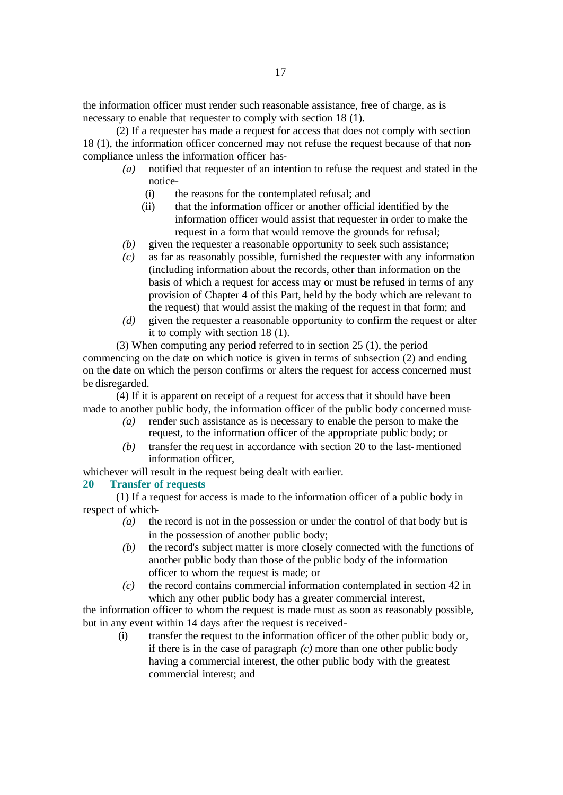the information officer must render such reasonable assistance, free of charge, as is necessary to enable that requester to comply with section 18 (1).

(2) If a requester has made a request for access that does not comply with section 18 (1), the information officer concerned may not refuse the request because of that noncompliance unless the information officer has-

- *(a)* notified that requester of an intention to refuse the request and stated in the notice-
	- (i) the reasons for the contemplated refusal; and
	- (ii) that the information officer or another official identified by the information officer would assist that requester in order to make the request in a form that would remove the grounds for refusal;
- *(b)* given the requester a reasonable opportunity to seek such assistance;
- *(c)* as far as reasonably possible, furnished the requester with any information (including information about the records, other than information on the basis of which a request for access may or must be refused in terms of any provision of Chapter 4 of this Part, held by the body which are relevant to the request) that would assist the making of the request in that form; and
- *(d)* given the requester a reasonable opportunity to confirm the request or alter it to comply with section 18 (1).

(3) When computing any period referred to in section 25 (1), the period commencing on the date on which notice is given in terms of subsection (2) and ending on the date on which the person confirms or alters the request for access concerned must be disregarded.

(4) If it is apparent on receipt of a request for access that it should have been made to another public body, the information officer of the public body concerned must-

- *(a)* render such assistance as is necessary to enable the person to make the request, to the information officer of the appropriate public body; or
- *(b)* transfer the request in accordance with section 20 to the last-mentioned information officer,

whichever will result in the request being dealt with earlier.

#### **20 Transfer of requests**

(1) If a request for access is made to the information officer of a public body in respect of which-

- *(a)* the record is not in the possession or under the control of that body but is in the possession of another public body;
- *(b)* the record's subject matter is more closely connected with the functions of another public body than those of the public body of the information officer to whom the request is made; or
- *(c)* the record contains commercial information contemplated in section 42 in which any other public body has a greater commercial interest,

the information officer to whom the request is made must as soon as reasonably possible, but in any event within 14 days after the request is received-

(i) transfer the request to the information officer of the other public body or, if there is in the case of paragraph  $(c)$  more than one other public body having a commercial interest, the other public body with the greatest commercial interest; and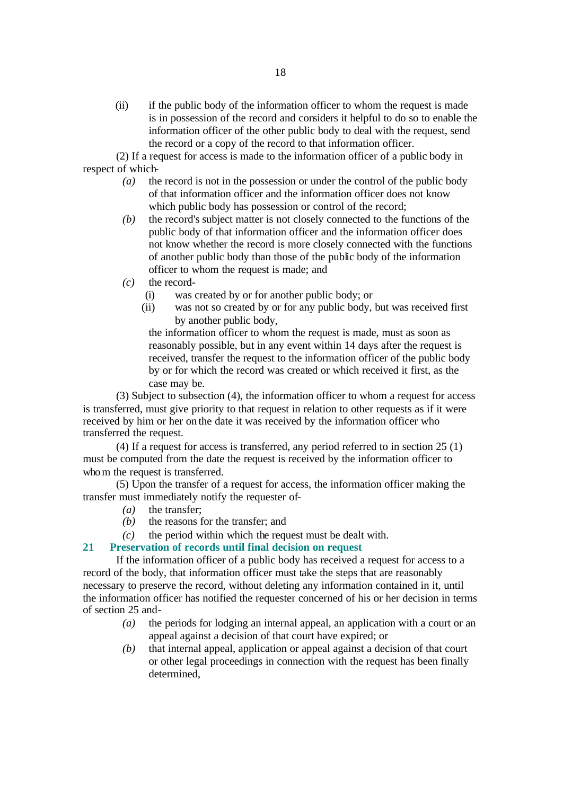(ii) if the public body of the information officer to whom the request is made is in possession of the record and considers it helpful to do so to enable the information officer of the other public body to deal with the request, send the record or a copy of the record to that information officer.

(2) If a request for access is made to the information officer of a public body in respect of which-

- *(a)* the record is not in the possession or under the control of the public body of that information officer and the information officer does not know which public body has possession or control of the record:
- *(b)* the record's subject matter is not closely connected to the functions of the public body of that information officer and the information officer does not know whether the record is more closely connected with the functions of another public body than those of the public body of the information officer to whom the request is made; and
- *(c)* the record-
	- (i) was created by or for another public body; or
	- (ii) was not so created by or for any public body, but was received first by another public body,

the information officer to whom the request is made, must as soon as reasonably possible, but in any event within 14 days after the request is received, transfer the request to the information officer of the public body by or for which the record was created or which received it first, as the case may be.

(3) Subject to subsection (4), the information officer to whom a request for access is transferred, must give priority to that request in relation to other requests as if it were received by him or her on the date it was received by the information officer who transferred the request.

(4) If a request for access is transferred, any period referred to in section 25 (1) must be computed from the date the request is received by the information officer to whom the request is transferred.

(5) Upon the transfer of a request for access, the information officer making the transfer must immediately notify the requester of-

- *(a)* the transfer;
- *(b)* the reasons for the transfer; and
- *(c)* the period within which the request must be dealt with.

# **21 Preservation of records until final decision on request**

If the information officer of a public body has received a request for access to a record of the body, that information officer must take the steps that are reasonably necessary to preserve the record, without deleting any information contained in it, until the information officer has notified the requester concerned of his or her decision in terms of section 25 and-

- *(a)* the periods for lodging an internal appeal, an application with a court or an appeal against a decision of that court have expired; or
- *(b)* that internal appeal, application or appeal against a decision of that court or other legal proceedings in connection with the request has been finally determined,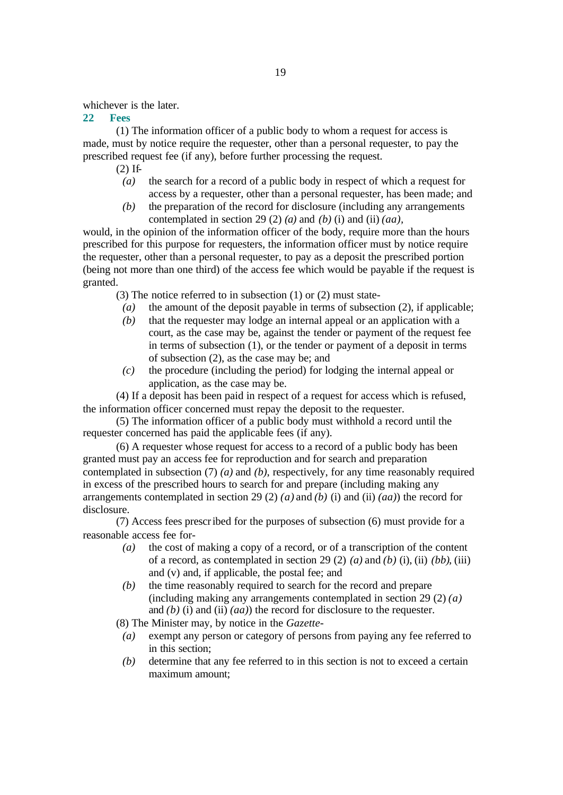whichever is the later.

**22 Fees**

(1) The information officer of a public body to whom a request for access is made, must by notice require the requester, other than a personal requester, to pay the prescribed request fee (if any), before further processing the request.

 $(2)$  If-

- *(a)* the search for a record of a public body in respect of which a request for access by a requester, other than a personal requester, has been made; and
- *(b)* the preparation of the record for disclosure (including any arrangements contemplated in section 29 (2) *(a)* and *(b)* (i) and (ii) *(aa),*

would, in the opinion of the information officer of the body, require more than the hours prescribed for this purpose for requesters, the information officer must by notice require the requester, other than a personal requester, to pay as a deposit the prescribed portion (being not more than one third) of the access fee which would be payable if the request is granted.

(3) The notice referred to in subsection (1) or (2) must state-

- *(a)* the amount of the deposit payable in terms of subsection (2), if applicable;
- *(b)* that the requester may lodge an internal appeal or an application with a court, as the case may be, against the tender or payment of the request fee in terms of subsection (1), or the tender or payment of a deposit in terms of subsection (2), as the case may be; and
- *(c)* the procedure (including the period) for lodging the internal appeal or application, as the case may be.

(4) If a deposit has been paid in respect of a request for access which is refused, the information officer concerned must repay the deposit to the requester.

(5) The information officer of a public body must withhold a record until the requester concerned has paid the applicable fees (if any).

(6) A requester whose request for access to a record of a public body has been granted must pay an access fee for reproduction and for search and preparation contemplated in subsection (7) *(a)* and *(b)*, respectively, for any time reasonably required in excess of the prescribed hours to search for and prepare (including making any arrangements contemplated in section 29 (2) *(a)* and *(b)* (i) and (ii) *(aa)*) the record for disclosure.

(7) Access fees prescribed for the purposes of subsection (6) must provide for a reasonable access fee for-

- *(a)* the cost of making a copy of a record, or of a transcription of the content of a record, as contemplated in section 29 (2)  $(a)$  and  $(b)$  (i), (ii)  $(bb)$ , (iii) and (v) and, if applicable, the postal fee; and
- *(b)* the time reasonably required to search for the record and prepare (including making any arrangements contemplated in section 29 (2) *(a)* and *(b)* (i) and (ii) *(aa)*) the record for disclosure to the requester.

(8) The Minister may, by notice in the *Gazette*-

- *(a)* exempt any person or category of persons from paying any fee referred to in this section;
- *(b)* determine that any fee referred to in this section is not to exceed a certain maximum amount;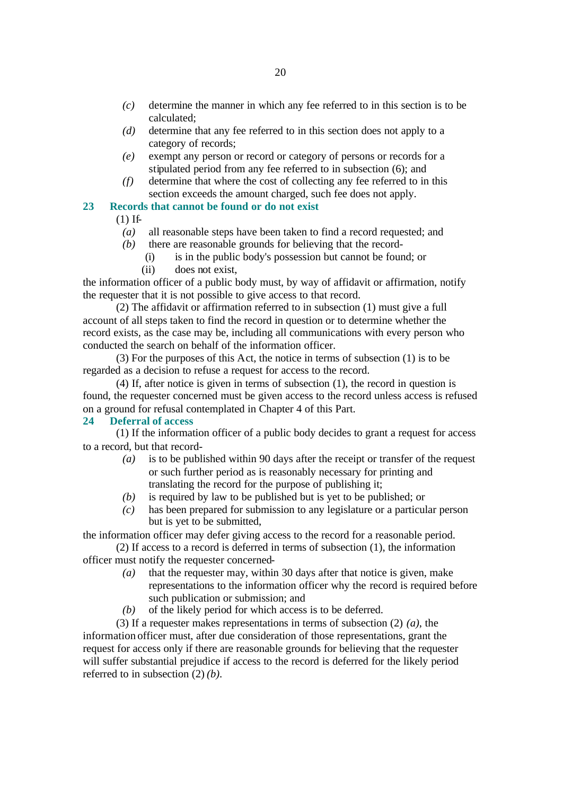- *(c)* determine the manner in which any fee referred to in this section is to be calculated;
- *(d)* determine that any fee referred to in this section does not apply to a category of records;
- *(e)* exempt any person or record or category of persons or records for a stipulated period from any fee referred to in subsection (6); and
- *(f)* determine that where the cost of collecting any fee referred to in this section exceeds the amount charged, such fee does not apply.

## **23 Records that cannot be found or do not exist**

- $(1)$  If-
	- *(a)* all reasonable steps have been taken to find a record requested; and
	- *(b)* there are reasonable grounds for believing that the record-
		- (i) is in the public body's possession but cannot be found; or
		- (ii) does not exist,

the information officer of a public body must, by way of affidavit or affirmation, notify the requester that it is not possible to give access to that record.

(2) The affidavit or affirmation referred to in subsection (1) must give a full account of all steps taken to find the record in question or to determine whether the record exists, as the case may be, including all communications with every person who conducted the search on behalf of the information officer.

(3) For the purposes of this Act, the notice in terms of subsection (1) is to be regarded as a decision to refuse a request for access to the record.

(4) If, after notice is given in terms of subsection (1), the record in question is found, the requester concerned must be given access to the record unless access is refused on a ground for refusal contemplated in Chapter 4 of this Part.

#### **24 Deferral of access**

(1) If the information officer of a public body decides to grant a request for access to a record, but that record-

- *(a)* is to be published within 90 days after the receipt or transfer of the request or such further period as is reasonably necessary for printing and translating the record for the purpose of publishing it;
- *(b)* is required by law to be published but is yet to be published; or
- *(c)* has been prepared for submission to any legislature or a particular person but is yet to be submitted,

the information officer may defer giving access to the record for a reasonable period.

(2) If access to a record is deferred in terms of subsection (1), the information officer must notify the requester concerned-

- *(a)* that the requester may, within 30 days after that notice is given, make representations to the information officer why the record is required before such publication or submission; and
- *(b)* of the likely period for which access is to be deferred.

(3) If a requester makes representations in terms of subsection (2) *(a)*, the information officer must, after due consideration of those representations, grant the request for access only if there are reasonable grounds for believing that the requester will suffer substantial prejudice if access to the record is deferred for the likely period referred to in subsection (2) *(b)*.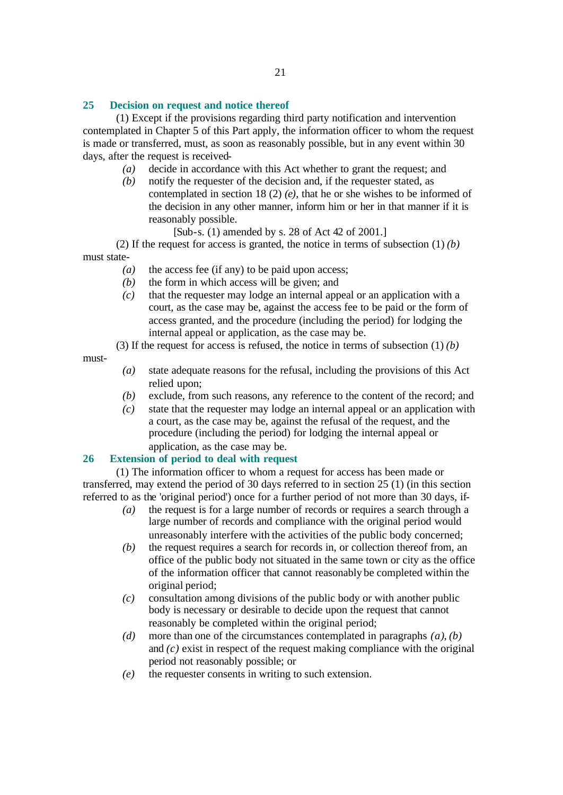#### **25 Decision on request and notice thereof**

(1) Except if the provisions regarding third party notification and intervention contemplated in Chapter 5 of this Part apply, the information officer to whom the request is made or transferred, must, as soon as reasonably possible, but in any event within 30 days, after the request is received-

- *(a)* decide in accordance with this Act whether to grant the request; and
- *(b)* notify the requester of the decision and, if the requester stated, as contemplated in section 18 (2) *(e)*, that he or she wishes to be informed of the decision in any other manner, inform him or her in that manner if it is reasonably possible.
	- [Sub-s. (1) amended by s. 28 of Act 42 of 2001.]

(2) If the request for access is granted, the notice in terms of subsection (1) *(b)* must state-

- *(a)* the access fee (if any) to be paid upon access;
- *(b)* the form in which access will be given; and
- *(c)* that the requester may lodge an internal appeal or an application with a court, as the case may be, against the access fee to be paid or the form of access granted, and the procedure (including the period) for lodging the internal appeal or application, as the case may be.
- (3) If the request for access is refused, the notice in terms of subsection (1) *(b)*

must-

- *(a)* state adequate reasons for the refusal, including the provisions of this Act relied upon;
- *(b)* exclude, from such reasons, any reference to the content of the record; and
- *(c)* state that the requester may lodge an internal appeal or an application with a court, as the case may be, against the refusal of the request, and the procedure (including the period) for lodging the internal appeal or application, as the case may be.

#### **26 Extension of period to deal with request**

(1) The information officer to whom a request for access has been made or transferred, may extend the period of 30 days referred to in section 25 (1) (in this section referred to as the 'original period') once for a further period of not more than 30 days, if-

- *(a)* the request is for a large number of records or requires a search through a large number of records and compliance with the original period would unreasonably interfere with the activities of the public body concerned;
- *(b)* the request requires a search for records in, or collection thereof from, an office of the public body not situated in the same town or city as the office of the information officer that cannot reasonably be completed within the original period;
- *(c)* consultation among divisions of the public body or with another public body is necessary or desirable to decide upon the request that cannot reasonably be completed within the original period;
- *(d)* more than one of the circumstances contemplated in paragraphs *(a)*, *(b)* and *(c)* exist in respect of the request making compliance with the original period not reasonably possible; or
- *(e)* the requester consents in writing to such extension.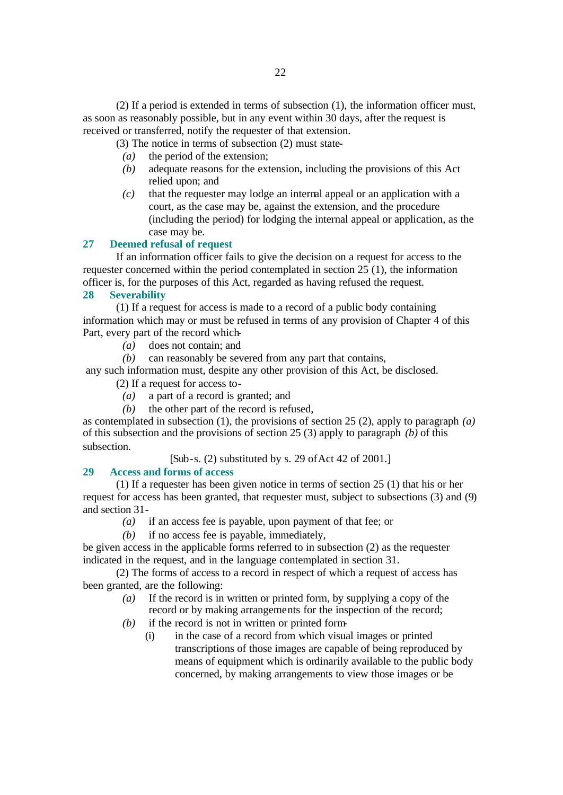(2) If a period is extended in terms of subsection (1), the information officer must, as soon as reasonably possible, but in any event within 30 days, after the request is received or transferred, notify the requester of that extension.

(3) The notice in terms of subsection (2) must state-

- *(a)* the period of the extension;
- *(b)* adequate reasons for the extension, including the provisions of this Act relied upon; and
- *(c)* that the requester may lodge an internal appeal or an application with a court, as the case may be, against the extension, and the procedure (including the period) for lodging the internal appeal or application, as the case may be.

#### **27 Deemed refusal of request**

If an information officer fails to give the decision on a request for access to the requester concerned within the period contemplated in section 25 (1), the information officer is, for the purposes of this Act, regarded as having refused the request.

#### **28 Severability**

(1) If a request for access is made to a record of a public body containing information which may or must be refused in terms of any provision of Chapter 4 of this Part, every part of the record which-

- *(a)* does not contain; and
- *(b)* can reasonably be severed from any part that contains,

any such information must, despite any other provision of this Act, be disclosed.

(2) If a request for access to-

- *(a)* a part of a record is granted; and
- *(b)* the other part of the record is refused,

as contemplated in subsection (1), the provisions of section 25 (2), apply to paragraph *(a)* of this subsection and the provisions of section 25 (3) apply to paragraph *(b)* of this subsection.

#### [Sub-s. (2) substituted by s. 29 of Act 42 of 2001.]

# **29 Access and forms of access**

(1) If a requester has been given notice in terms of section 25 (1) that his or her request for access has been granted, that requester must, subject to subsections (3) and (9) and section 31-

- *(a)* if an access fee is payable, upon payment of that fee; or
- *(b)* if no access fee is payable, immediately,

be given access in the applicable forms referred to in subsection (2) as the requester indicated in the request, and in the language contemplated in section 31.

(2) The forms of access to a record in respect of which a request of access has been granted, are the following:

- *(a)* If the record is in written or printed form, by supplying a copy of the record or by making arrangements for the inspection of the record;
- *(b)* if the record is not in written or printed form-
	- (i) in the case of a record from which visual images or printed transcriptions of those images are capable of being reproduced by means of equipment which is ordinarily available to the public body concerned, by making arrangements to view those images or be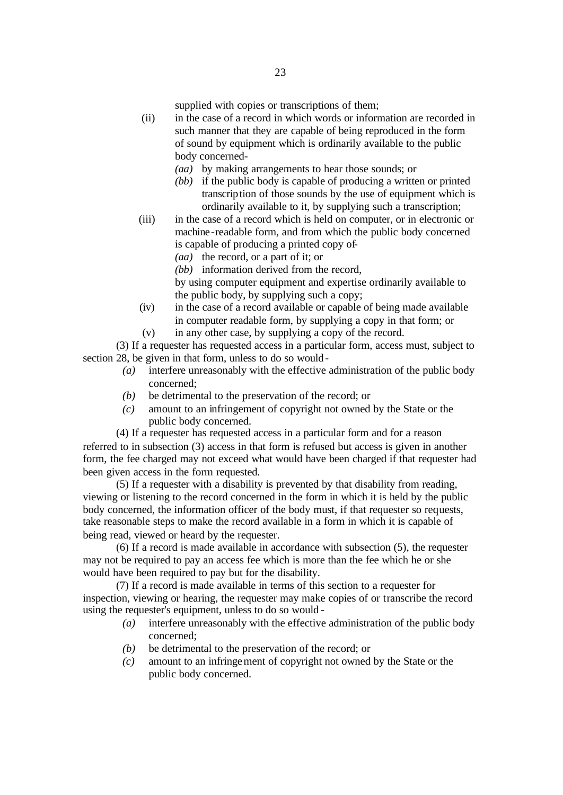supplied with copies or transcriptions of them;

- (ii) in the case of a record in which words or information are recorded in such manner that they are capable of being reproduced in the form of sound by equipment which is ordinarily available to the public body concerned-
	- *(aa)* by making arrangements to hear those sounds; or
	- *(bb)* if the public body is capable of producing a written or printed transcription of those sounds by the use of equipment which is ordinarily available to it, by supplying such a transcription;
- (iii) in the case of a record which is held on computer, or in electronic or machine-readable form, and from which the public body concerned is capable of producing a printed copy of-
	- *(aa)* the record, or a part of it; or
	- *(bb)* information derived from the record,

by using computer equipment and expertise ordinarily available to the public body, by supplying such a copy;

- (iv) in the case of a record available or capable of being made available in computer readable form, by supplying a copy in that form; or
- (v) in any other case, by supplying a copy of the record.

(3) If a requester has requested access in a particular form, access must, subject to section 28, be given in that form, unless to do so would-

- *(a)* interfere unreasonably with the effective administration of the public body concerned;
- *(b)* be detrimental to the preservation of the record; or
- *(c)* amount to an infringement of copyright not owned by the State or the public body concerned.

(4) If a requester has requested access in a particular form and for a reason referred to in subsection (3) access in that form is refused but access is given in another form, the fee charged may not exceed what would have been charged if that requester had been given access in the form requested.

(5) If a requester with a disability is prevented by that disability from reading, viewing or listening to the record concerned in the form in which it is held by the public body concerned, the information officer of the body must, if that requester so requests, take reasonable steps to make the record available in a form in which it is capable of being read, viewed or heard by the requester.

(6) If a record is made available in accordance with subsection (5), the requester may not be required to pay an access fee which is more than the fee which he or she would have been required to pay but for the disability.

(7) If a record is made available in terms of this section to a requester for inspection, viewing or hearing, the requester may make copies of or transcribe the record using the requester's equipment, unless to do so would -

- *(a)* interfere unreasonably with the effective administration of the public body concerned;
- *(b)* be detrimental to the preservation of the record; or
- *(c)* amount to an infringement of copyright not owned by the State or the public body concerned.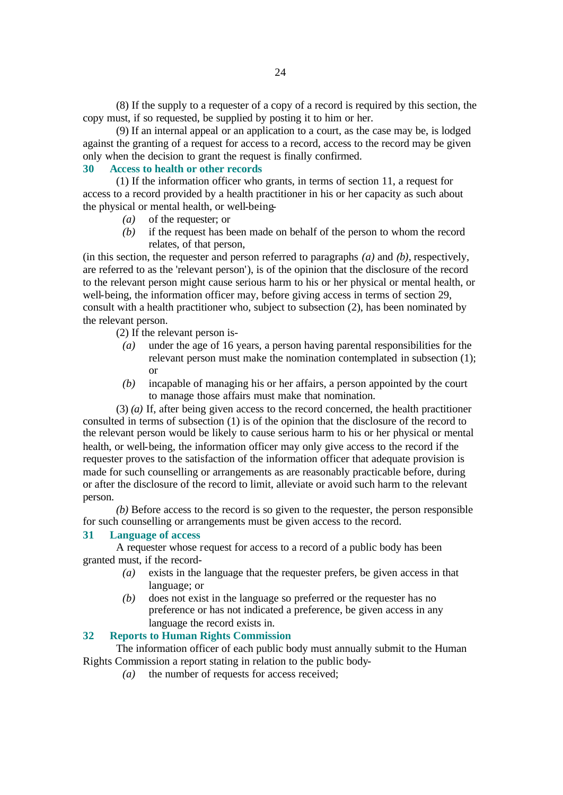(8) If the supply to a requester of a copy of a record is required by this section, the copy must, if so requested, be supplied by posting it to him or her.

(9) If an internal appeal or an application to a court, as the case may be, is lodged against the granting of a request for access to a record, access to the record may be given only when the decision to grant the request is finally confirmed.

# **30 Access to health or other records**

(1) If the information officer who grants, in terms of section 11, a request for access to a record provided by a health practitioner in his or her capacity as such about the physical or mental health, or well-being-

- *(a)* of the requester; or
- *(b)* if the request has been made on behalf of the person to whom the record relates, of that person,

(in this section, the requester and person referred to paragraphs *(a)* and *(b)*, respectively, are referred to as the 'relevant person'), is of the opinion that the disclosure of the record to the relevant person might cause serious harm to his or her physical or mental health, or well-being, the information officer may, before giving access in terms of section 29, consult with a health practitioner who, subject to subsection (2), has been nominated by the relevant person.

(2) If the relevant person is-

- *(a)* under the age of 16 years, a person having parental responsibilities for the relevant person must make the nomination contemplated in subsection (1); or
- *(b)* incapable of managing his or her affairs, a person appointed by the court to manage those affairs must make that nomination.

(3) *(a)* If, after being given access to the record concerned, the health practitioner consulted in terms of subsection (1) is of the opinion that the disclosure of the record to the relevant person would be likely to cause serious harm to his or her physical or mental health, or well-being, the information officer may only give access to the record if the requester proves to the satisfaction of the information officer that adequate provision is made for such counselling or arrangements as are reasonably practicable before, during or after the disclosure of the record to limit, alleviate or avoid such harm to the relevant person.

*(b)* Before access to the record is so given to the requester, the person responsible for such counselling or arrangements must be given access to the record.

#### **31 Language of access**

A requester whose request for access to a record of a public body has been granted must, if the record-

- *(a)* exists in the language that the requester prefers, be given access in that language; or
- *(b)* does not exist in the language so preferred or the requester has no preference or has not indicated a preference, be given access in any language the record exists in.

# **32 Reports to Human Rights Commission**

The information officer of each public body must annually submit to the Human Rights Commission a report stating in relation to the public body-

*(a)* the number of requests for access received;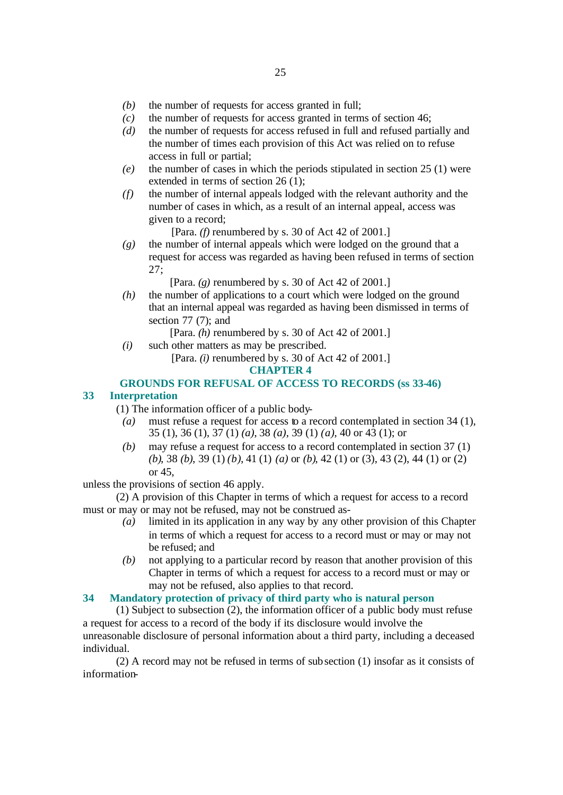- *(b)* the number of requests for access granted in full;
- *(c)* the number of requests for access granted in terms of section 46;
- *(d)* the number of requests for access refused in full and refused partially and the number of times each provision of this Act was relied on to refuse access in full or partial;
- *(e)* the number of cases in which the periods stipulated in section 25 (1) were extended in terms of section 26 (1);
- *(f)* the number of internal appeals lodged with the relevant authority and the number of cases in which, as a result of an internal appeal, access was given to a record;

[Para. *(f)* renumbered by s. 30 of Act 42 of 2001.]

*(g)* the number of internal appeals which were lodged on the ground that a request for access was regarded as having been refused in terms of section 27;

[Para. *(g)* renumbered by s. 30 of Act 42 of 2001.]

- *(h)* the number of applications to a court which were lodged on the ground that an internal appeal was regarded as having been dismissed in terms of section 77 (7); and
	- [Para. *(h)* renumbered by s. 30 of Act 42 of 2001.]
- *(i)* such other matters as may be prescribed. [Para. *(i)* renumbered by s. 30 of Act 42 of 2001.]

#### **CHAPTER 4**

# **GROUNDS FOR REFUSAL OF ACCESS TO RECORDS (ss 33-46)**

# **33 Interpretation**

- (1) The information officer of a public body-
	- *(a)* must refuse a request for access to a record contemplated in section 34 (1), 35 (1), 36 (1), 37 (1) *(a)*, 38 *(a)*, 39 (1) *(a)*, 40 or 43 (1); or
	- *(b)* may refuse a request for access to a record contemplated in section 37 (1) *(b)*, 38 *(b)*, 39 (1) *(b)*, 41 (1) *(a)* or *(b)*, 42 (1) or (3), 43 (2), 44 (1) or (2) or  $45<sub>1</sub>$

unless the provisions of section 46 apply.

(2) A provision of this Chapter in terms of which a request for access to a record must or may or may not be refused, may not be construed as-

- *(a)* limited in its application in any way by any other provision of this Chapter in terms of which a request for access to a record must or may or may not be refused; and
- *(b)* not applying to a particular record by reason that another provision of this Chapter in terms of which a request for access to a record must or may or may not be refused, also applies to that record.

#### **34 Mandatory protection of privacy of third party who is natural person**

(1) Subject to subsection (2), the information officer of a public body must refuse a request for access to a record of the body if its disclosure would involve the unreasonable disclosure of personal information about a third party, including a deceased

individual.

(2) A record may not be refused in terms of subsection (1) insofar as it consists of information-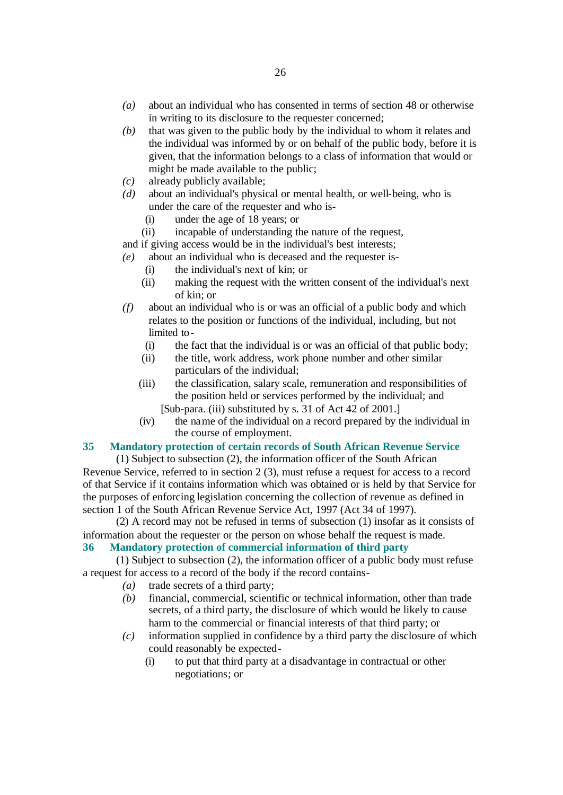- *(a)* about an individual who has consented in terms of section 48 or otherwise in writing to its disclosure to the requester concerned;
- *(b)* that was given to the public body by the individual to whom it relates and the individual was informed by or on behalf of the public body, before it is given, that the information belongs to a class of information that would or might be made available to the public;
- *(c)* already publicly available;
- *(d)* about an individual's physical or mental health, or well-being, who is under the care of the requester and who is-
	- (i) under the age of 18 years; or
	- (ii) incapable of understanding the nature of the request,

and if giving access would be in the individual's best interests;

- *(e)* about an individual who is deceased and the requester is-
	- (i) the individual's next of kin; or
	- (ii) making the request with the written consent of the individual's next of kin; or
- *(f)* about an individual who is or was an official of a public body and which relates to the position or functions of the individual, including, but not limited to-
	- (i) the fact that the individual is or was an official of that public body;
	- (ii) the title, work address, work phone number and other similar particulars of the individual;
	- (iii) the classification, salary scale, remuneration and responsibilities of the position held or services performed by the individual; and [Sub-para. (iii) substituted by s. 31 of Act 42 of 2001.]
		-
	- (iv) the name of the individual on a record prepared by the individual in the course of employment.

# **35 Mandatory protection of certain records of South African Revenue Service**

(1) Subject to subsection (2), the information officer of the South African Revenue Service, referred to in section 2 (3), must refuse a request for access to a record of that Service if it contains information which was obtained or is held by that Service for the purposes of enforcing legislation concerning the collection of revenue as defined in section 1 of the South African Revenue Service Act, 1997 (Act 34 of 1997).

(2) A record may not be refused in terms of subsection (1) insofar as it consists of information about the requester or the person on whose behalf the request is made.

# **36 Mandatory protection of commercial information of third party**

(1) Subject to subsection (2), the information officer of a public body must refuse a request for access to a record of the body if the record contains-

- *(a)* trade secrets of a third party;
- *(b)* financial, commercial, scientific or technical information, other than trade secrets, of a third party, the disclosure of which would be likely to cause harm to the commercial or financial interests of that third party; or
- *(c)* information supplied in confidence by a third party the disclosure of which could reasonably be expected-
	- (i) to put that third party at a disadvantage in contractual or other negotiations; or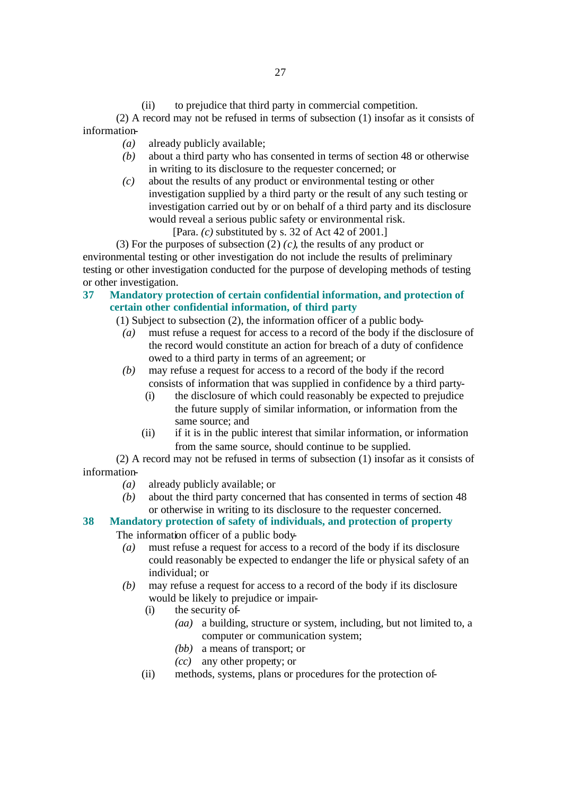(ii) to prejudice that third party in commercial competition.

(2) A record may not be refused in terms of subsection (1) insofar as it consists of information-

- *(a)* already publicly available;
- *(b)* about a third party who has consented in terms of section 48 or otherwise in writing to its disclosure to the requester concerned; or
- *(c)* about the results of any product or environmental testing or other investigation supplied by a third party or the result of any such testing or investigation carried out by or on behalf of a third party and its disclosure would reveal a serious public safety or environmental risk.
	- [Para. *(c)* substituted by s. 32 of Act 42 of 2001.]

(3) For the purposes of subsection (2) *(c)*, the results of any product or environmental testing or other investigation do not include the results of preliminary testing or other investigation conducted for the purpose of developing methods of testing or other investigation.

## **37 Mandatory protection of certain confidential information, and protection of certain other confidential information, of third party**

(1) Subject to subsection (2), the information officer of a public body-

- *(a)* must refuse a request for access to a record of the body if the disclosure of the record would constitute an action for breach of a duty of confidence owed to a third party in terms of an agreement; or
- *(b)* may refuse a request for access to a record of the body if the record consists of information that was supplied in confidence by a third party-
	- (i) the disclosure of which could reasonably be expected to prejudice the future supply of similar information, or information from the same source; and
	- (ii) if it is in the public interest that similar information, or information from the same source, should continue to be supplied.

(2) A record may not be refused in terms of subsection (1) insofar as it consists of information-

- *(a)* already publicly available; or
- *(b)* about the third party concerned that has consented in terms of section 48 or otherwise in writing to its disclosure to the requester concerned.

#### **38 Mandatory protection of safety of individuals, and protection of property** The information officer of a public body-

- *(a)* must refuse a request for access to a record of the body if its disclosure could reasonably be expected to endanger the life or physical safety of an individual; or
- *(b)* may refuse a request for access to a record of the body if its disclosure would be likely to prejudice or impair-
	- (i) the security of-
		- *(aa)* a building, structure or system, including, but not limited to, a computer or communication system;
		- *(bb)* a means of transport; or
		- *(cc)* any other property; or
	- (ii) methods, systems, plans or procedures for the protection of-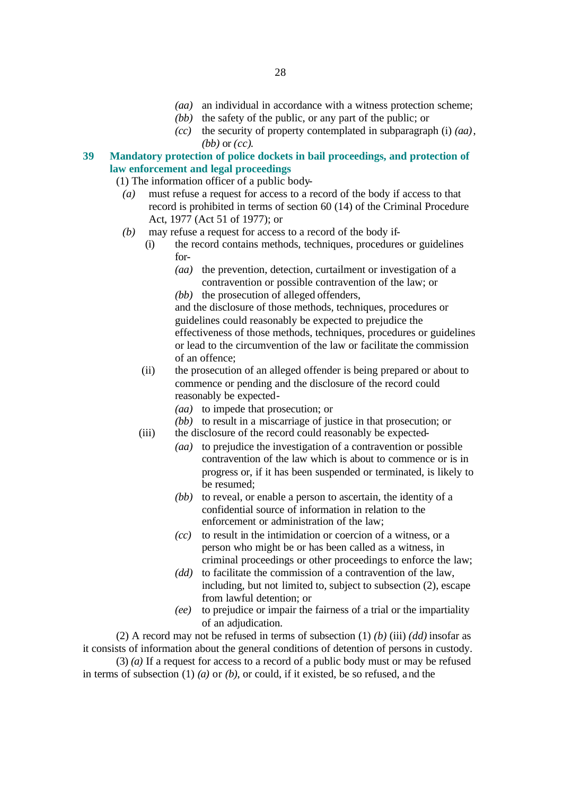- *(bb)* the safety of the public, or any part of the public; or
- *(cc)* the security of property contemplated in subparagraph (i) *(aa)*, *(bb)* or *(cc)*.
- **39 Mandatory protection of police dockets in bail proceedings, and protection of law enforcement and legal proceedings**
	- (1) The information officer of a public body-
		- *(a)* must refuse a request for access to a record of the body if access to that record is prohibited in terms of section 60 (14) of the Criminal Procedure Act, 1977 (Act 51 of 1977); or
		- *(b)* may refuse a request for access to a record of the body if-
			- (i) the record contains methods, techniques, procedures or guidelines for-
				- *(aa)* the prevention, detection, curtailment or investigation of a contravention or possible contravention of the law; or

*(bb)* the prosecution of alleged offenders,

and the disclosure of those methods, techniques, procedures or guidelines could reasonably be expected to prejudice the effectiveness of those methods, techniques, procedures or guidelines or lead to the circumvention of the law or facilitate the commission of an offence;

- (ii) the prosecution of an alleged offender is being prepared or about to commence or pending and the disclosure of the record could reasonably be expected-
	- *(aa)* to impede that prosecution; or
	- *(bb)* to result in a miscarriage of justice in that prosecution; or
- (iii) the disclosure of the record could reasonably be expected-
	- *(aa)* to prejudice the investigation of a contravention or possible contravention of the law which is about to commence or is in progress or, if it has been suspended or terminated, is likely to be resumed;
	- *(bb)* to reveal, or enable a person to ascertain, the identity of a confidential source of information in relation to the enforcement or administration of the law;
	- *(cc)* to result in the intimidation or coercion of a witness, or a person who might be or has been called as a witness, in criminal proceedings or other proceedings to enforce the law;
	- *(dd)* to facilitate the commission of a contravention of the law, including, but not limited to, subject to subsection (2), escape from lawful detention; or
	- *(ee)* to prejudice or impair the fairness of a trial or the impartiality of an adjudication.

(2) A record may not be refused in terms of subsection (1) *(b)* (iii) *(dd)* insofar as it consists of information about the general conditions of detention of persons in custody.

(3) *(a)* If a request for access to a record of a public body must or may be refused in terms of subsection (1) *(a)* or *(b)*, or could, if it existed, be so refused, a nd the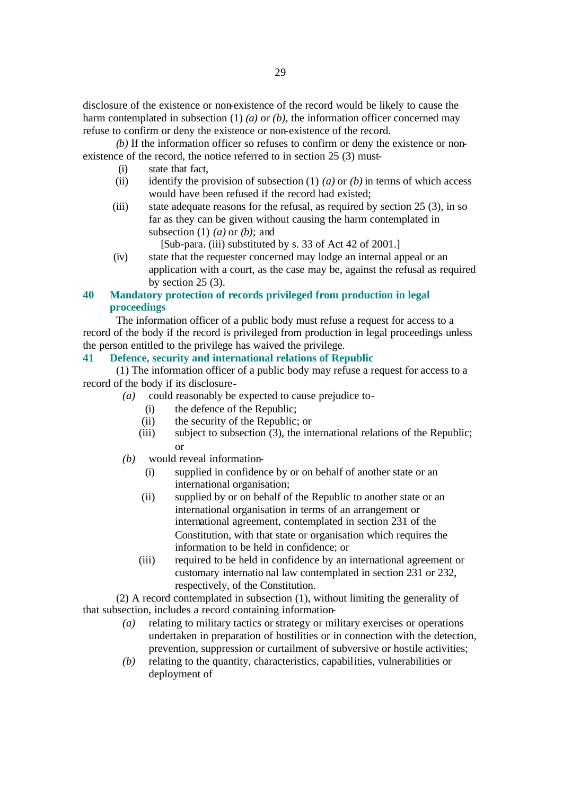disclosure of the existence or non-existence of the record would be likely to cause the harm contemplated in subsection (1) *(a)* or *(b)*, the information officer concerned may refuse to confirm or deny the existence or non-existence of the record.

*(b)* If the information officer so refuses to confirm or deny the existence or nonexistence of the record, the notice referred to in section 25 (3) must-

- (i) state that fact,
- (ii) identify the provision of subsection (1) *(a)* or *(b)* in terms of which access would have been refused if the record had existed;
- (iii) state adequate reasons for the refusal, as required by section 25 (3), in so far as they can be given without causing the harm contemplated in subsection (1) *(a)* or *(b)*; and

[Sub-para. (iii) substituted by s. 33 of Act 42 of 2001.]

(iv) state that the requester concerned may lodge an internal appeal or an application with a court, as the case may be, against the refusal as required by section  $25(3)$ .

# **40 Mandatory protection of records privileged from production in legal proceedings**

The information officer of a public body must refuse a request for access to a record of the body if the record is privileged from production in legal proceedings unless the person entitled to the privilege has waived the privilege.

# **41 Defence, security and international relations of Republic**

(1) The information officer of a public body may refuse a request for access to a record of the body if its disclosure-

- *(a)* could reasonably be expected to cause prejudice to-
	- (i) the defence of the Republic;
	- (ii) the security of the Republic; or
	- (iii) subject to subsection (3), the international relations of the Republic; or
- *(b)* would reveal information-
	- (i) supplied in confidence by or on behalf of another state or an international organisation;
	- (ii) supplied by or on behalf of the Republic to another state or an international organisation in terms of an arrangement or international agreement, contemplated in section 231 of the Constitution, with that state or organisation which requires the information to be held in confidence; or
	- (iii) required to be held in confidence by an international agreement or customary internatio nal law contemplated in section 231 or 232, respectively, of the Constitution.

(2) A record contemplated in subsection (1), without limiting the generality of that subsection, includes a record containing information-

- *(a)* relating to military tactics or strategy or military exercises or operations undertaken in preparation of hostilities or in connection with the detection, prevention, suppression or curtailment of subversive or hostile activities;
- *(b)* relating to the quantity, characteristics, capabilities, vulnerabilities or deployment of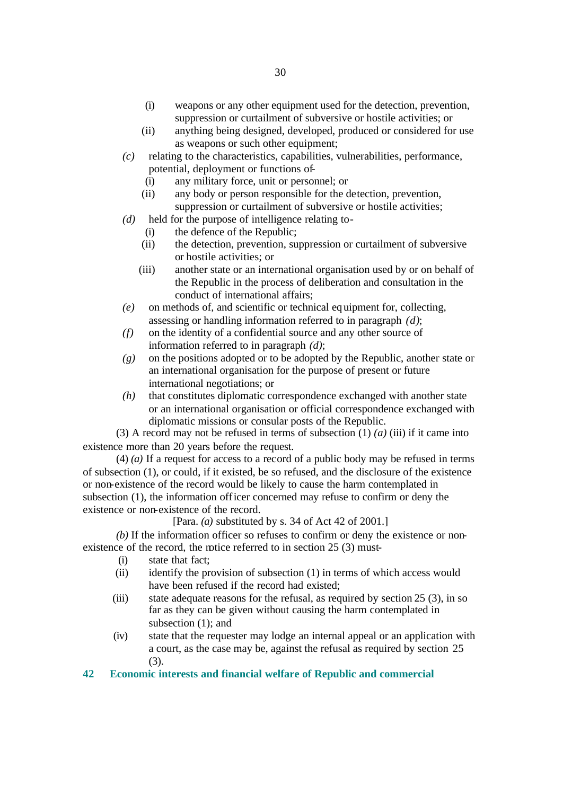- (i) weapons or any other equipment used for the detection, prevention, suppression or curtailment of subversive or hostile activities; or
- (ii) anything being designed, developed, produced or considered for use as weapons or such other equipment;
- *(c)* relating to the characteristics, capabilities, vulnerabilities, performance, potential, deployment or functions of-
	- (i) any military force, unit or personnel; or
	- (ii) any body or person responsible for the detection, prevention, suppression or curtailment of subversive or hostile activities;
- *(d)* held for the purpose of intelligence relating to-
	- (i) the defence of the Republic;
	- (ii) the detection, prevention, suppression or curtailment of subversive or hostile activities; or
	- (iii) another state or an international organisation used by or on behalf of the Republic in the process of deliberation and consultation in the conduct of international affairs;
- *(e)* on methods of, and scientific or technical equipment for, collecting, assessing or handling information referred to in paragraph *(d)*;
- *(f)* on the identity of a confidential source and any other source of information referred to in paragraph *(d)*;
- *(g)* on the positions adopted or to be adopted by the Republic, another state or an international organisation for the purpose of present or future international negotiations; or
- *(h)* that constitutes diplomatic correspondence exchanged with another state or an international organisation or official correspondence exchanged with diplomatic missions or consular posts of the Republic.

(3) A record may not be refused in terms of subsection (1) *(a)* (iii) if it came into existence more than 20 years before the request.

(4) *(a)* If a request for access to a record of a public body may be refused in terms of subsection (1), or could, if it existed, be so refused, and the disclosure of the existence or non-existence of the record would be likely to cause the harm contemplated in subsection (1), the information officer concerned may refuse to confirm or deny the existence or non-existence of the record.

[Para. *(a)* substituted by s. 34 of Act 42 of 2001.]

*(b)* If the information officer so refuses to confirm or deny the existence or nonexistence of the record, the motice referred to in section 25 (3) must-

- (i) state that fact;
- (ii) identify the provision of subsection (1) in terms of which access would have been refused if the record had existed;
- (iii) state adequate reasons for the refusal, as required by section 25 (3), in so far as they can be given without causing the harm contemplated in subsection (1); and
- (iv) state that the requester may lodge an internal appeal or an application with a court, as the case may be, against the refusal as required by section 25 (3).

# **42 Economic interests and financial welfare of Republic and commercial**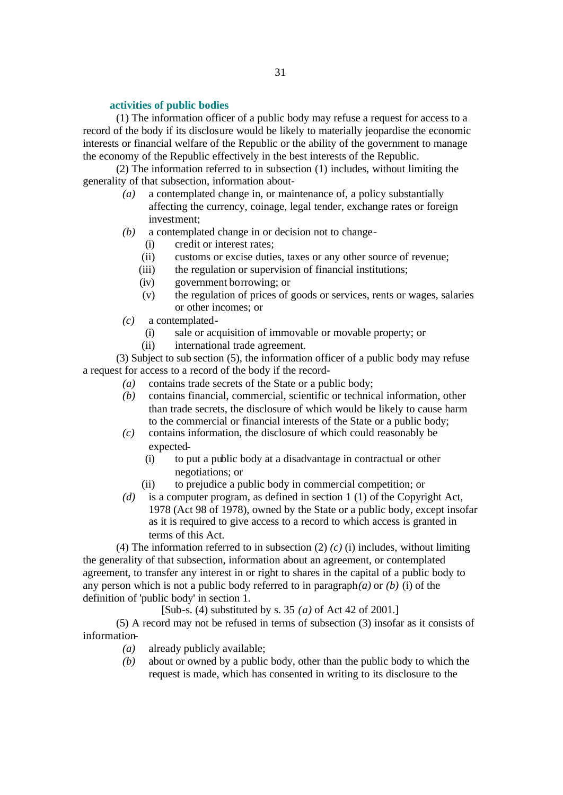#### **activities of public bodies**

(1) The information officer of a public body may refuse a request for access to a record of the body if its disclosure would be likely to materially jeopardise the economic interests or financial welfare of the Republic or the ability of the government to manage the economy of the Republic effectively in the best interests of the Republic.

(2) The information referred to in subsection (1) includes, without limiting the generality of that subsection, information about-

- *(a)* a contemplated change in, or maintenance of, a policy substantially affecting the currency, coinage, legal tender, exchange rates or foreign investment;
- *(b)* a contemplated change in or decision not to change-
	- (i) credit or interest rates;
	- (ii) customs or excise duties, taxes or any other source of revenue;
	- (iii) the regulation or supervision of financial institutions;
	- (iv) government borrowing; or
	- (v) the regulation of prices of goods or services, rents or wages, salaries or other incomes; or
- *(c)* a contemplated-
	- (i) sale or acquisition of immovable or movable property; or
	- (ii) international trade agreement.

(3) Subject to sub section (5), the information officer of a public body may refuse a request for access to a record of the body if the record-

- *(a)* contains trade secrets of the State or a public body;
- *(b)* contains financial, commercial, scientific or technical information, other than trade secrets, the disclosure of which would be likely to cause harm to the commercial or financial interests of the State or a public body;
- *(c)* contains information, the disclosure of which could reasonably be expected-
	- (i) to put a public body at a disadvantage in contractual or other negotiations; or
	- (ii) to prejudice a public body in commercial competition; or
- *(d)* is a computer program, as defined in section 1 (1) of the Copyright Act, 1978 (Act 98 of 1978), owned by the State or a public body, except insofar as it is required to give access to a record to which access is granted in terms of this Act.

(4) The information referred to in subsection  $(2)$   $(c)$   $(i)$  includes, without limiting the generality of that subsection, information about an agreement, or contemplated agreement, to transfer any interest in or right to shares in the capital of a public body to any person which is not a public body referred to in paragraph*(a)* or *(b)* (i) of the definition of 'public body' in section 1.

[Sub-s. (4) substituted by s. 35 *(a)* of Act 42 of 2001.]

(5) A record may not be refused in terms of subsection (3) insofar as it consists of information-

- *(a)* already publicly available;
- *(b)* about or owned by a public body, other than the public body to which the request is made, which has consented in writing to its disclosure to the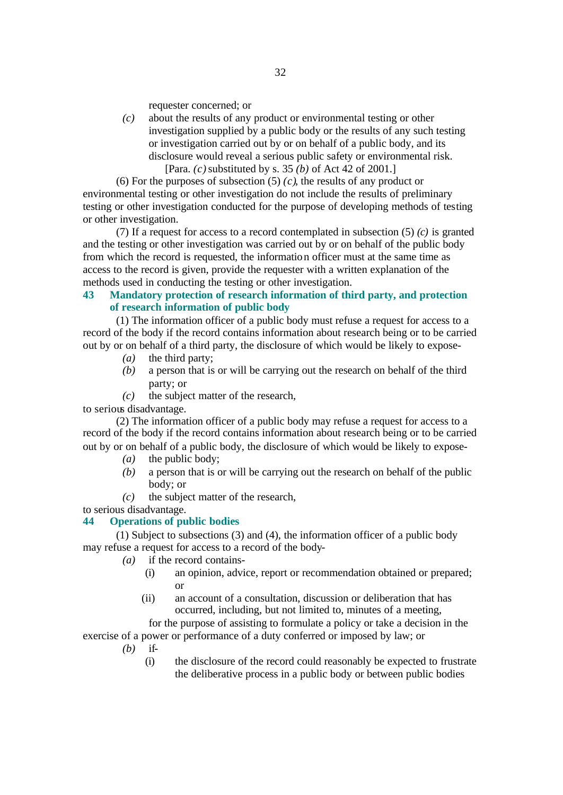requester concerned; or

*(c)* about the results of any product or environmental testing or other investigation supplied by a public body or the results of any such testing or investigation carried out by or on behalf of a public body, and its disclosure would reveal a serious public safety or environmental risk. [Para. *(c)* substituted by s. 35 *(b)* of Act 42 of 2001.]

(6) For the purposes of subsection (5) *(c)*, the results of any product or environmental testing or other investigation do not include the results of preliminary testing or other investigation conducted for the purpose of developing methods of testing or other investigation.

(7) If a request for access to a record contemplated in subsection (5) *(c)* is granted and the testing or other investigation was carried out by or on behalf of the public body from which the record is requested, the information officer must at the same time as access to the record is given, provide the requester with a written explanation of the methods used in conducting the testing or other investigation.

# **43 Mandatory protection of research information of third party, and protection of research information of public body**

(1) The information officer of a public body must refuse a request for access to a record of the body if the record contains information about research being or to be carried out by or on behalf of a third party, the disclosure of which would be likely to expose-

- *(a)* the third party;
- *(b)* a person that is or will be carrying out the research on behalf of the third party; or
- *(c)* the subject matter of the research,

# to serious disadvantage.

(2) The information officer of a public body may refuse a request for access to a record of the body if the record contains information about research being or to be carried out by or on behalf of a public body, the disclosure of which would be likely to expose-

- *(a)* the public body;
- *(b)* a person that is or will be carrying out the research on behalf of the public body; or
- *(c)* the subject matter of the research,

#### to serious disadvantage.

#### **44 Operations of public bodies**

(1) Subject to subsections (3) and (4), the information officer of a public body may refuse a request for access to a record of the body-

- *(a)* if the record contains-
	- (i) an opinion, advice, report or recommendation obtained or prepared; or
	- (ii) an account of a consultation, discussion or deliberation that has occurred, including, but not limited to, minutes of a meeting,

for the purpose of assisting to formulate a policy or take a decision in the exercise of a power or performance of a duty conferred or imposed by law; or

- *(b)* if-
	- (i) the disclosure of the record could reasonably be expected to frustrate the deliberative process in a public body or between public bodies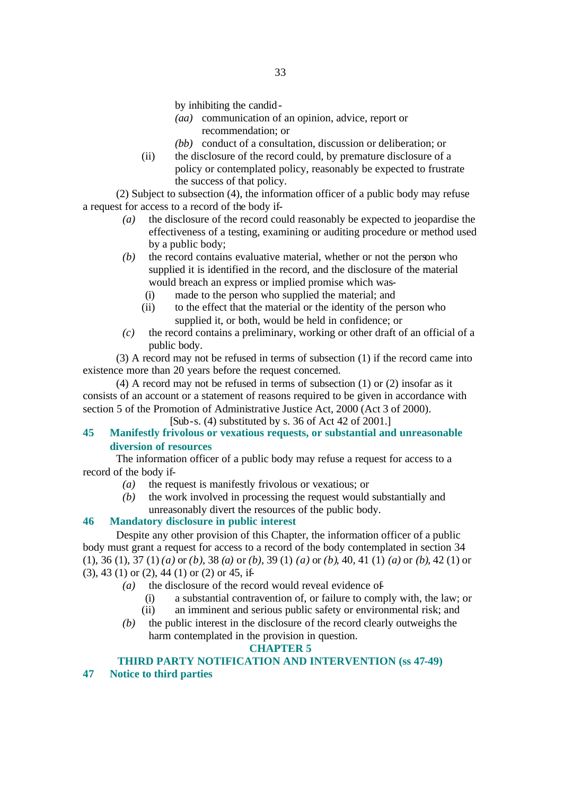by inhibiting the candid-

- *(aa)* communication of an opinion, advice, report or recommendation; or
- *(bb)* conduct of a consultation, discussion or deliberation; or
- (ii) the disclosure of the record could, by premature disclosure of a policy or contemplated policy, reasonably be expected to frustrate the success of that policy.

(2) Subject to subsection (4), the information officer of a public body may refuse a request for access to a record of the body if-

- *(a)* the disclosure of the record could reasonably be expected to jeopardise the effectiveness of a testing, examining or auditing procedure or method used by a public body;
- *(b)* the record contains evaluative material, whether or not the person who supplied it is identified in the record, and the disclosure of the material would breach an express or implied promise which was-
	- (i) made to the person who supplied the material; and
	- (ii) to the effect that the material or the identity of the person who supplied it, or both, would be held in confidence; or
- *(c)* the record contains a preliminary, working or other draft of an official of a public body.

(3) A record may not be refused in terms of subsection (1) if the record came into existence more than 20 years before the request concerned.

(4) A record may not be refused in terms of subsection (1) or (2) insofar as it consists of an account or a statement of reasons required to be given in accordance with section 5 of the Promotion of Administrative Justice Act, 2000 (Act 3 of 2000).

[Sub-s. (4) substituted by s. 36 of Act 42 of 2001.]

**45 Manifestly frivolous or vexatious requests, or substantial and unreasonable diversion of resources**

The information officer of a public body may refuse a request for access to a record of the body if-

- *(a)* the request is manifestly frivolous or vexatious; or
- *(b)* the work involved in processing the request would substantially and unreasonably divert the resources of the public body.

# **46 Mandatory disclosure in public interest**

Despite any other provision of this Chapter, the information officer of a public body must grant a request for access to a record of the body contemplated in section 34 (1), 36 (1), 37 (1) *(a)* or *(b)*, 38 *(a)* or *(b)*, 39 (1) *(a)* or *(b)*, 40, 41 (1) *(a)* or *(b)*, 42 (1) or (3), 43 (1) or (2), 44 (1) or (2) or 45, if-

- *(a)* the disclosure of the record would reveal evidence of-
	- (i) a substantial contravention of, or failure to comply with, the law; or
	- (ii) an imminent and serious public safety or environmental risk; and
- *(b)* the public interest in the disclosure of the record clearly outweighs the harm contemplated in the provision in question.

**CHAPTER 5**

# **THIRD PARTY NOTIFICATION AND INTERVENTION (ss 47-49)**

#### **47 Notice to third parties**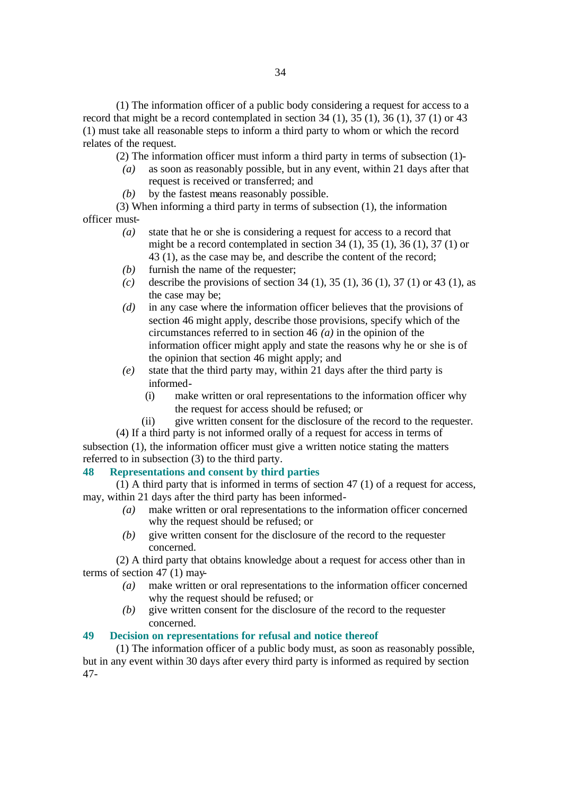(1) The information officer of a public body considering a request for access to a record that might be a record contemplated in section 34 (1), 35 (1), 36 (1), 37 (1) or 43 (1) must take all reasonable steps to inform a third party to whom or which the record relates of the request.

(2) The information officer must inform a third party in terms of subsection (1)-

- *(a)* as soon as reasonably possible, but in any event, within 21 days after that request is received or transferred; and
- *(b)* by the fastest means reasonably possible.

(3) When informing a third party in terms of subsection (1), the information officer must-

- *(a)* state that he or she is considering a request for access to a record that might be a record contemplated in section 34 (1), 35 (1), 36 (1), 37 (1) or 43 (1), as the case may be, and describe the content of the record;
- *(b)* furnish the name of the requester;
- *(c)* describe the provisions of section 34 (1), 35 (1), 36 (1), 37 (1) or 43 (1), as the case may be;
- *(d)* in any case where the information officer believes that the provisions of section 46 might apply, describe those provisions, specify which of the circumstances referred to in section 46 *(a)* in the opinion of the information officer might apply and state the reasons why he or she is of the opinion that section 46 might apply; and
- *(e)* state that the third party may, within 21 days after the third party is informed-
	- (i) make written or oral representations to the information officer why the request for access should be refused; or
	- (ii) give written consent for the disclosure of the record to the requester.

(4) If a third party is not informed orally of a request for access in terms of subsection (1), the information officer must give a written notice stating the matters referred to in subsection (3) to the third party.

# **48 Representations and consent by third parties**

(1) A third party that is informed in terms of section 47 (1) of a request for access, may, within 21 days after the third party has been informed-

- *(a)* make written or oral representations to the information officer concerned why the request should be refused; or
- *(b)* give written consent for the disclosure of the record to the requester concerned.

(2) A third party that obtains knowledge about a request for access other than in terms of section 47 (1) may-

- *(a)* make written or oral representations to the information officer concerned why the request should be refused; or
- *(b)* give written consent for the disclosure of the record to the requester concerned.

# **49 Decision on representations for refusal and notice thereof**

(1) The information officer of a public body must, as soon as reasonably possible, but in any event within 30 days after every third party is informed as required by section 47-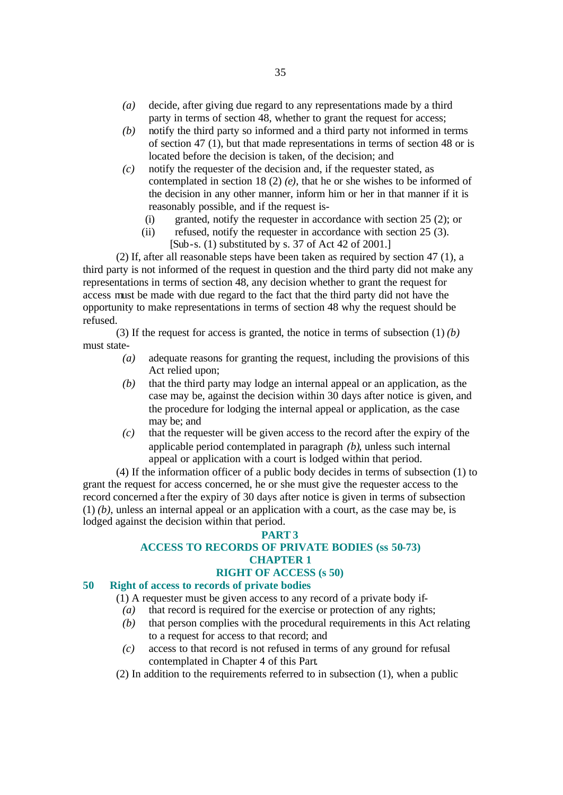- *(a)* decide, after giving due regard to any representations made by a third party in terms of section 48, whether to grant the request for access;
- *(b)* notify the third party so informed and a third party not informed in terms of section 47 (1), but that made representations in terms of section 48 or is located before the decision is taken, of the decision; and
- *(c)* notify the requester of the decision and, if the requester stated, as contemplated in section 18 (2) *(e)*, that he or she wishes to be informed of the decision in any other manner, inform him or her in that manner if it is reasonably possible, and if the request is-
	- (i) granted, notify the requester in accordance with section 25 (2); or
	- (ii) refused, notify the requester in accordance with section 25 (3).  $[Sub-s. (1)$  substituted by s. 37 of Act 42 of 2001.]

(2) If, after all reasonable steps have been taken as required by section 47 (1), a third party is not informed of the request in question and the third party did not make any representations in terms of section 48, any decision whether to grant the request for access must be made with due regard to the fact that the third party did not have the opportunity to make representations in terms of section 48 why the request should be refused.

(3) If the request for access is granted, the notice in terms of subsection (1) *(b)* must state-

- *(a)* adequate reasons for granting the request, including the provisions of this Act relied upon;
- *(b)* that the third party may lodge an internal appeal or an application, as the case may be, against the decision within 30 days after notice is given, and the procedure for lodging the internal appeal or application, as the case may be; and
- *(c)* that the requester will be given access to the record after the expiry of the applicable period contemplated in paragraph *(b)*, unless such internal appeal or application with a court is lodged within that period.

(4) If the information officer of a public body decides in terms of subsection (1) to grant the request for access concerned, he or she must give the requester access to the record concerned a fter the expiry of 30 days after notice is given in terms of subsection (1) *(b)*, unless an internal appeal or an application with a court, as the case may be, is lodged against the decision within that period.

# **PART 3**

# **ACCESS TO RECORDS OF PRIVATE BODIES (ss 50-73) CHAPTER 1**

# **RIGHT OF ACCESS (s 50)**

# **50 Right of access to records of private bodies**

(1) A requester must be given access to any record of a private body if-

- *(a)* that record is required for the exercise or protection of any rights;
- *(b)* that person complies with the procedural requirements in this Act relating to a request for access to that record; and
- *(c)* access to that record is not refused in terms of any ground for refusal contemplated in Chapter 4 of this Part.
- (2) In addition to the requirements referred to in subsection (1), when a public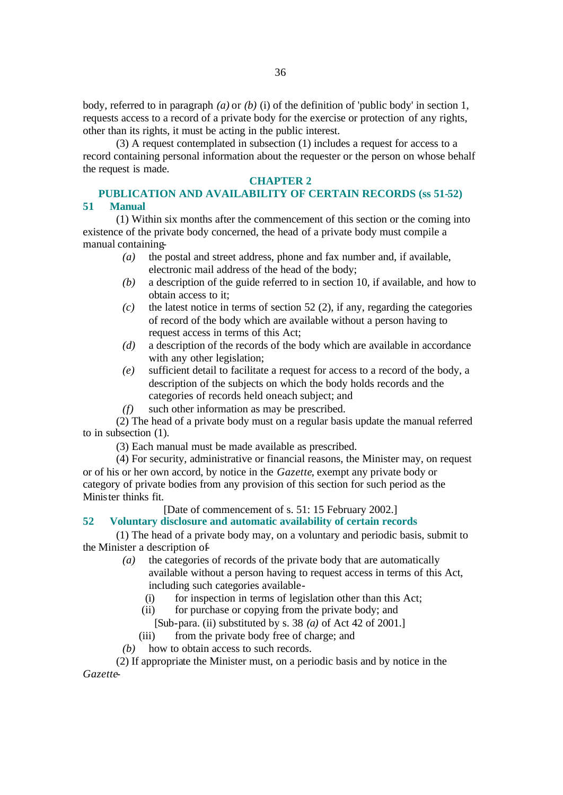body, referred to in paragraph *(a)* or *(b)* (i) of the definition of 'public body' in section 1, requests access to a record of a private body for the exercise or protection of any rights, other than its rights, it must be acting in the public interest.

(3) A request contemplated in subsection (1) includes a request for access to a record containing personal information about the requester or the person on whose behalf the request is made.

#### **CHAPTER 2**

# **PUBLICATION AND AVAILABILITY OF CERTAIN RECORDS (ss 51-52) 51 Manual**

(1) Within six months after the commencement of this section or the coming into existence of the private body concerned, the head of a private body must compile a manual containing-

- *(a)* the postal and street address, phone and fax number and, if available, electronic mail address of the head of the body;
- *(b)* a description of the guide referred to in section 10, if available, and how to obtain access to it;
- *(c)* the latest notice in terms of section 52 (2), if any, regarding the categories of record of the body which are available without a person having to request access in terms of this Act;
- *(d)* a description of the records of the body which are available in accordance with any other legislation:
- *(e)* sufficient detail to facilitate a request for access to a record of the body, a description of the subjects on which the body holds records and the categories of records held on each subject; and
- *(f)* such other information as may be prescribed.

(2) The head of a private body must on a regular basis update the manual referred to in subsection (1).

(3) Each manual must be made available as prescribed.

(4) For security, administrative or financial reasons, the Minister may, on request or of his or her own accord, by notice in the *Gazette*, exempt any private body or category of private bodies from any provision of this section for such period as the Minister thinks fit.

[Date of commencement of s. 51: 15 February 2002.]

# **52 Voluntary disclosure and automatic availability of certain records**

(1) The head of a private body may, on a voluntary and periodic basis, submit to the Minister a description of-

- *(a)* the categories of records of the private body that are automatically available without a person having to request access in terms of this Act, including such categories available-
	- (i) for inspection in terms of legislation other than this Act;

(ii) for purchase or copying from the private body; and

[Sub-para. (ii) substituted by s. 38 *(a)* of Act 42 of 2001.]

(iii) from the private body free of charge; and

*(b)* how to obtain access to such records.

(2) If appropriate the Minister must, on a periodic basis and by notice in the *Gazette*-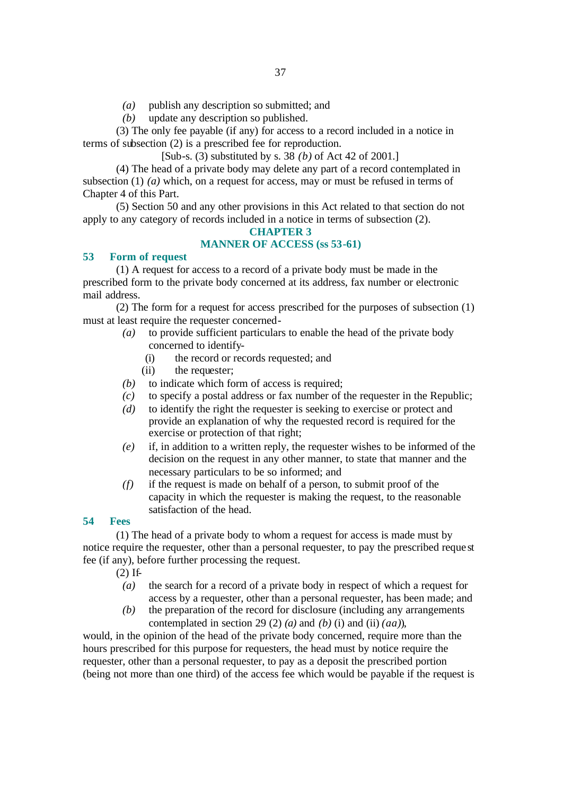*(a)* publish any description so submitted; and

*(b)* update any description so published.

(3) The only fee payable (if any) for access to a record included in a notice in terms of subsection (2) is a prescribed fee for reproduction.

[Sub-s. (3) substituted by s. 38 *(b)* of Act 42 of 2001.]

(4) The head of a private body may delete any part of a record contemplated in subsection (1) *(a)* which, on a request for access, may or must be refused in terms of Chapter 4 of this Part.

(5) Section 50 and any other provisions in this Act related to that section do not apply to any category of records included in a notice in terms of subsection (2).

# **CHAPTER 3**

#### **MANNER OF ACCESS (ss 53-61)**

#### **53 Form of request**

(1) A request for access to a record of a private body must be made in the prescribed form to the private body concerned at its address, fax number or electronic mail address.

(2) The form for a request for access prescribed for the purposes of subsection (1) must at least require the requester concerned-

- *(a)* to provide sufficient particulars to enable the head of the private body concerned to identify-
	- (i) the record or records requested; and
	- (ii) the requester;
- *(b)* to indicate which form of access is required;
- *(c)* to specify a postal address or fax number of the requester in the Republic;
- *(d)* to identify the right the requester is seeking to exercise or protect and provide an explanation of why the requested record is required for the exercise or protection of that right;
- *(e)* if, in addition to a written reply, the requester wishes to be informed of the decision on the request in any other manner, to state that manner and the necessary particulars to be so informed; and
- *(f)* if the request is made on behalf of a person, to submit proof of the capacity in which the requester is making the request, to the reasonable satisfaction of the head.

# **54 Fees**

(1) The head of a private body to whom a request for access is made must by notice require the requester, other than a personal requester, to pay the prescribed reque st fee (if any), before further processing the request.

 $(2)$  If-

- *(a)* the search for a record of a private body in respect of which a request for access by a requester, other than a personal requester, has been made; and
- *(b)* the preparation of the record for disclosure (including any arrangements contemplated in section 29 (2) *(a)* and *(b)* (i) and (ii) *(aa)*),

would, in the opinion of the head of the private body concerned, require more than the hours prescribed for this purpose for requesters, the head must by notice require the requester, other than a personal requester, to pay as a deposit the prescribed portion (being not more than one third) of the access fee which would be payable if the request is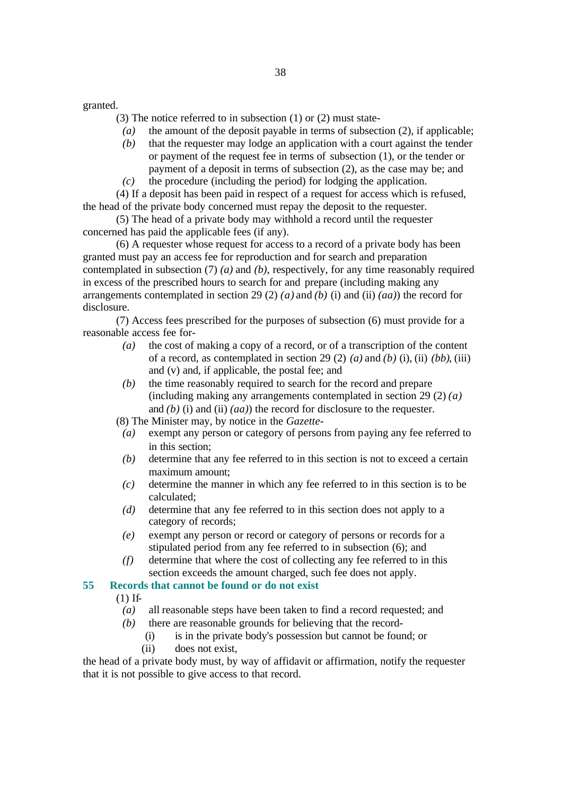granted.

(3) The notice referred to in subsection (1) or (2) must state-

- *(a)* the amount of the deposit payable in terms of subsection (2), if applicable;
- *(b)* that the requester may lodge an application with a court against the tender or payment of the request fee in terms of subsection (1), or the tender or payment of a deposit in terms of subsection (2), as the case may be; and
- *(c)* the procedure (including the period) for lodging the application.

(4) If a deposit has been paid in respect of a request for access which is refused, the head of the private body concerned must repay the deposit to the requester.

(5) The head of a private body may withhold a record until the requester concerned has paid the applicable fees (if any).

(6) A requester whose request for access to a record of a private body has been granted must pay an access fee for reproduction and for search and preparation contemplated in subsection (7) *(a)* and *(b)*, respectively, for any time reasonably required in excess of the prescribed hours to search for and prepare (including making any arrangements contemplated in section 29 (2) *(a)* and *(b)* (i) and (ii) *(aa)*) the record for disclosure.

(7) Access fees prescribed for the purposes of subsection (6) must provide for a reasonable access fee for-

- *(a)* the cost of making a copy of a record, or of a transcription of the content of a record, as contemplated in section 29 (2)  $(a)$  and  $(b)$  (i), (ii)  $(bb)$ , (iii) and (v) and, if applicable, the postal fee; and
- *(b)* the time reasonably required to search for the record and prepare (including making any arrangements contemplated in section 29 (2) *(a)* and *(b)* (i) and (ii) *(aa)*) the record for disclosure to the requester.

(8) The Minister may, by notice in the *Gazette*-

- *(a)* exempt any person or category of persons from paying any fee referred to in this section;
- *(b)* determine that any fee referred to in this section is not to exceed a certain maximum amount;
- *(c)* determine the manner in which any fee referred to in this section is to be calculated;
- *(d)* determine that any fee referred to in this section does not apply to a category of records;
- *(e)* exempt any person or record or category of persons or records for a stipulated period from any fee referred to in subsection (6); and
- *(f)* determine that where the cost of collecting any fee referred to in this section exceeds the amount charged, such fee does not apply.

# **55 Records that cannot be found or do not exist**

 $(1)$  If-

- *(a)* all reasonable steps have been taken to find a record requested; and
- *(b)* there are reasonable grounds for believing that the record-
	- (i) is in the private body's possession but cannot be found; or
	- (ii) does not exist,

the head of a private body must, by way of affidavit or affirmation, notify the requester that it is not possible to give access to that record.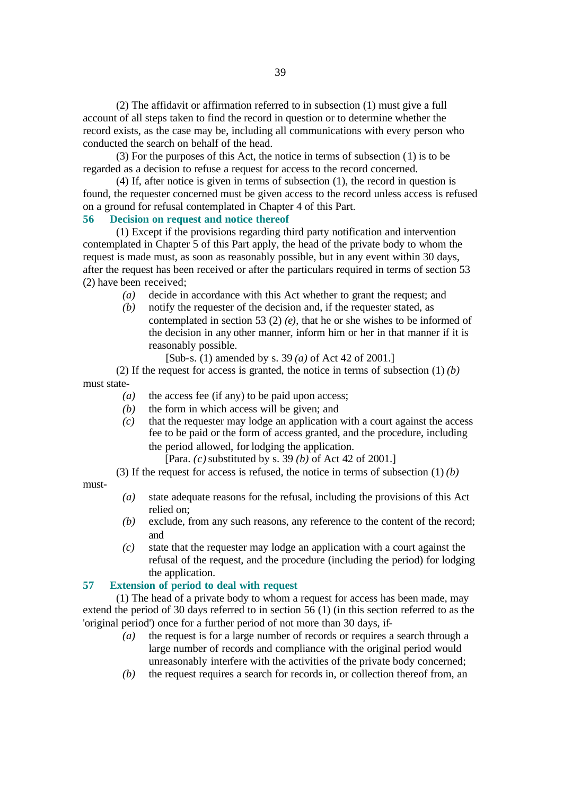(2) The affidavit or affirmation referred to in subsection (1) must give a full account of all steps taken to find the record in question or to determine whether the record exists, as the case may be, including all communications with every person who conducted the search on behalf of the head.

(3) For the purposes of this Act, the notice in terms of subsection (1) is to be regarded as a decision to refuse a request for access to the record concerned.

(4) If, after notice is given in terms of subsection (1), the record in question is found, the requester concerned must be given access to the record unless access is refused on a ground for refusal contemplated in Chapter 4 of this Part.

#### **56 Decision on request and notice thereof**

(1) Except if the provisions regarding third party notification and intervention contemplated in Chapter 5 of this Part apply, the head of the private body to whom the request is made must, as soon as reasonably possible, but in any event within 30 days, after the request has been received or after the particulars required in terms of section 53 (2) have been received;

- *(a)* decide in accordance with this Act whether to grant the request; and
- *(b)* notify the requester of the decision and, if the requester stated, as contemplated in section 53 (2) *(e)*, that he or she wishes to be informed of the decision in any other manner, inform him or her in that manner if it is reasonably possible.

[Sub-s. (1) amended by s. 39 *(a)* of Act 42 of 2001.]

(2) If the request for access is granted, the notice in terms of subsection (1) *(b)* must state-

- *(a)* the access fee (if any) to be paid upon access;
- *(b)* the form in which access will be given; and
- *(c)* that the requester may lodge an application with a court against the access fee to be paid or the form of access granted, and the procedure, including the period allowed, for lodging the application.

[Para. *(c)* substituted by s. 39 *(b)* of Act 42 of 2001.]

- (3) If the request for access is refused, the notice in terms of subsection (1) *(b)*
	- *(a)* state adequate reasons for the refusal, including the provisions of this Act relied on;
	- *(b)* exclude, from any such reasons, any reference to the content of the record; and
	- *(c)* state that the requester may lodge an application with a court against the refusal of the request, and the procedure (including the period) for lodging the application.

#### **57 Extension of period to deal with request**

must-

(1) The head of a private body to whom a request for access has been made, may extend the period of 30 days referred to in section 56 (1) (in this section referred to as the 'original period') once for a further period of not more than 30 days, if-

- *(a)* the request is for a large number of records or requires a search through a large number of records and compliance with the original period would unreasonably interfere with the activities of the private body concerned;
- *(b)* the request requires a search for records in, or collection thereof from, an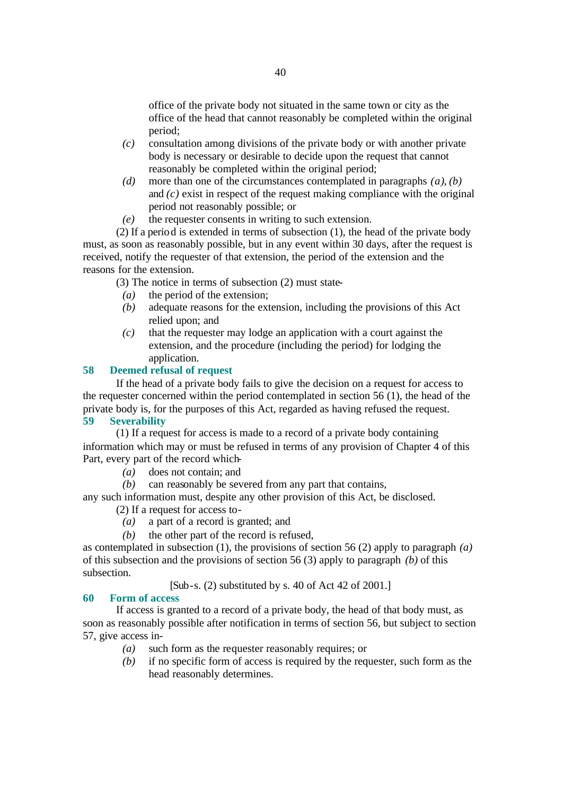office of the private body not situated in the same town or city as the office of the head that cannot reasonably be completed within the original period;

- *(c)* consultation among divisions of the private body or with another private body is necessary or desirable to decide upon the request that cannot reasonably be completed within the original period;
- *(d)* more than one of the circumstances contemplated in paragraphs *(a)*, *(b)* and *(c)* exist in respect of the request making compliance with the original period not reasonably possible; or
- *(e)* the requester consents in writing to such extension.

(2) If a period is extended in terms of subsection (1), the head of the private body must, as soon as reasonably possible, but in any event within 30 days, after the request is received, notify the requester of that extension, the period of the extension and the reasons for the extension.

(3) The notice in terms of subsection (2) must state-

- *(a)* the period of the extension;
- *(b)* adequate reasons for the extension, including the provisions of this Act relied upon; and
- *(c)* that the requester may lodge an application with a court against the extension, and the procedure (including the period) for lodging the application.

# **58 Deemed refusal of request**

If the head of a private body fails to give the decision on a request for access to the requester concerned within the period contemplated in section 56 (1), the head of the private body is, for the purposes of this Act, regarded as having refused the request. **59 Severability**

(1) If a request for access is made to a record of a private body containing information which may or must be refused in terms of any provision of Chapter 4 of this Part, every part of the record which-

- *(a)* does not contain; and
- *(b)* can reasonably be severed from any part that contains,

any such information must, despite any other provision of this Act, be disclosed.

- (2) If a request for access to-
	- *(a)* a part of a record is granted; and
	- *(b)* the other part of the record is refused,

as contemplated in subsection (1), the provisions of section 56 (2) apply to paragraph *(a)* of this subsection and the provisions of section 56 (3) apply to paragraph *(b)* of this subsection.

 $[Sub-s. (2)$  substituted by s. 40 of Act 42 of 2001.

#### **60 Form of access**

If access is granted to a record of a private body, the head of that body must, as soon as reasonably possible after notification in terms of section 56, but subject to section 57, give access in-

- *(a)* such form as the requester reasonably requires; or
- *(b)* if no specific form of access is required by the requester, such form as the head reasonably determines.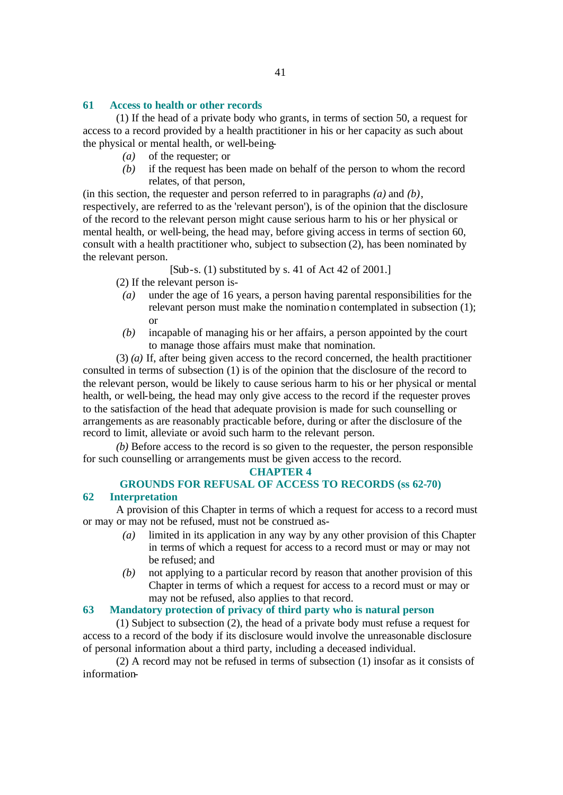#### **61 Access to health or other records**

(1) If the head of a private body who grants, in terms of section 50, a request for access to a record provided by a health practitioner in his or her capacity as such about the physical or mental health, or well-being-

- *(a)* of the requester; or
- *(b)* if the request has been made on behalf of the person to whom the record relates, of that person,

(in this section, the requester and person referred to in paragraphs *(a)* and *(b)*, respectively, are referred to as the 'relevant person'), is of the opinion that the disclosure of the record to the relevant person might cause serious harm to his or her physical or mental health, or well-being, the head may, before giving access in terms of section 60, consult with a health practitioner who, subject to subsection (2), has been nominated by the relevant person.

[Sub-s. (1) substituted by s. 41 of Act 42 of 2001.]

(2) If the relevant person is-

- *(a)* under the age of 16 years, a person having parental responsibilities for the relevant person must make the nomination contemplated in subsection (1); or
- *(b)* incapable of managing his or her affairs, a person appointed by the court to manage those affairs must make that nomination.

(3) *(a)* If, after being given access to the record concerned, the health practitioner consulted in terms of subsection (1) is of the opinion that the disclosure of the record to the relevant person, would be likely to cause serious harm to his or her physical or mental health, or well-being, the head may only give access to the record if the requester proves to the satisfaction of the head that adequate provision is made for such counselling or arrangements as are reasonably practicable before, during or after the disclosure of the record to limit, alleviate or avoid such harm to the relevant person.

*(b)* Before access to the record is so given to the requester, the person responsible for such counselling or arrangements must be given access to the record.

#### **CHAPTER 4**

# **GROUNDS FOR REFUSAL OF ACCESS TO RECORDS (ss 62-70)**

# **62 Interpretation**

A provision of this Chapter in terms of which a request for access to a record must or may or may not be refused, must not be construed as-

- *(a)* limited in its application in any way by any other provision of this Chapter in terms of which a request for access to a record must or may or may not be refused; and
- *(b)* not applying to a particular record by reason that another provision of this Chapter in terms of which a request for access to a record must or may or may not be refused, also applies to that record.

#### **63 Mandatory protection of privacy of third party who is natural person**

(1) Subject to subsection (2), the head of a private body must refuse a request for access to a record of the body if its disclosure would involve the unreasonable disclosure of personal information about a third party, including a deceased individual.

(2) A record may not be refused in terms of subsection (1) insofar as it consists of information-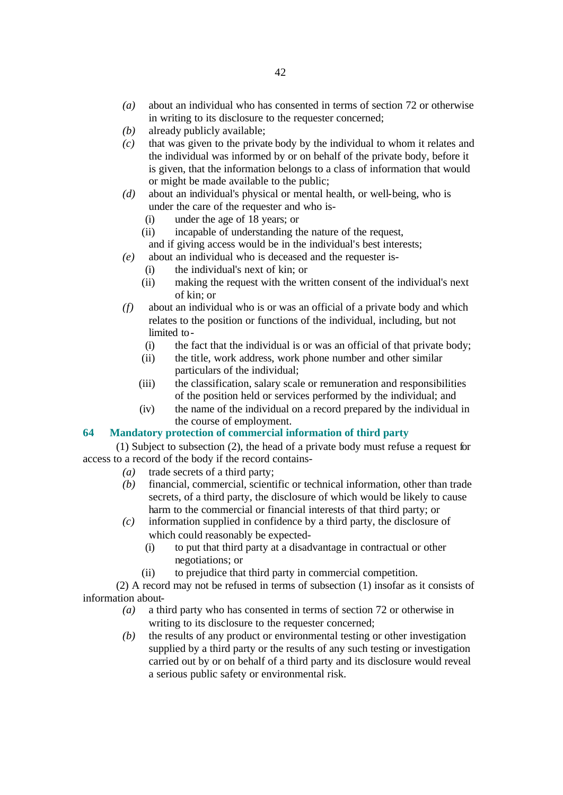- *(a)* about an individual who has consented in terms of section 72 or otherwise in writing to its disclosure to the requester concerned;
- *(b)* already publicly available;
- *(c)* that was given to the private body by the individual to whom it relates and the individual was informed by or on behalf of the private body, before it is given, that the information belongs to a class of information that would or might be made available to the public;
- *(d)* about an individual's physical or mental health, or well-being, who is under the care of the requester and who is-
	- (i) under the age of 18 years; or
	- (ii) incapable of understanding the nature of the request,
	- and if giving access would be in the individual's best interests;
- *(e)* about an individual who is deceased and the requester is-
	- (i) the individual's next of kin; or
	- (ii) making the request with the written consent of the individual's next of kin; or
- *(f)* about an individual who is or was an official of a private body and which relates to the position or functions of the individual, including, but not limited to-
	- (i) the fact that the individual is or was an official of that private body;
	- (ii) the title, work address, work phone number and other similar particulars of the individual;
	- (iii) the classification, salary scale or remuneration and responsibilities of the position held or services performed by the individual; and
	- (iv) the name of the individual on a record prepared by the individual in the course of employment.

#### **64 Mandatory protection of commercial information of third party**

(1) Subject to subsection (2), the head of a private body must refuse a request for access to a record of the body if the record contains-

- *(a)* trade secrets of a third party;
- *(b)* financial, commercial, scientific or technical information, other than trade secrets, of a third party, the disclosure of which would be likely to cause harm to the commercial or financial interests of that third party; or
- *(c)* information supplied in confidence by a third party, the disclosure of which could reasonably be expected-
	- (i) to put that third party at a disadvantage in contractual or other negotiations; or
	- (ii) to prejudice that third party in commercial competition.

(2) A record may not be refused in terms of subsection (1) insofar as it consists of information about-

- *(a)* a third party who has consented in terms of section 72 or otherwise in writing to its disclosure to the requester concerned;
- *(b)* the results of any product or environmental testing or other investigation supplied by a third party or the results of any such testing or investigation carried out by or on behalf of a third party and its disclosure would reveal a serious public safety or environmental risk.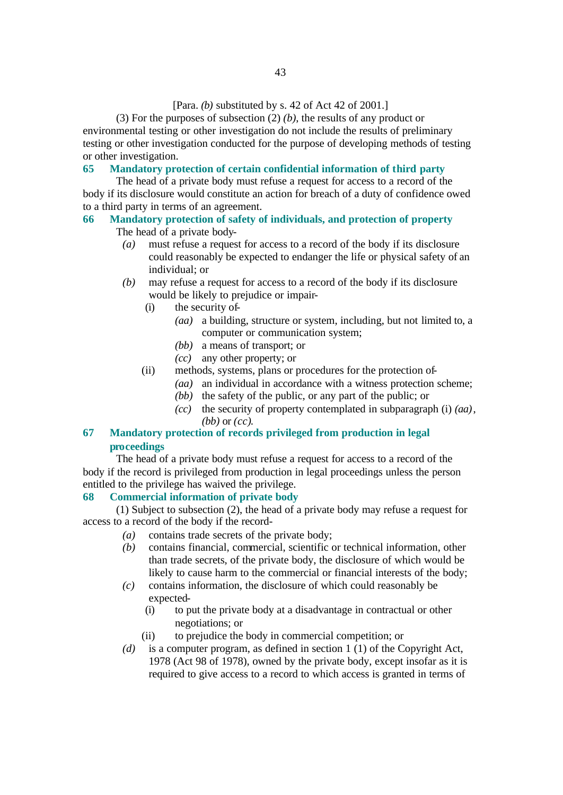[Para. *(b)* substituted by s. 42 of Act 42 of 2001.]

(3) For the purposes of subsection (2) *(b)*, the results of any product or environmental testing or other investigation do not include the results of preliminary testing or other investigation conducted for the purpose of developing methods of testing or other investigation.

# **65 Mandatory protection of certain confidential information of third party**

The head of a private body must refuse a request for access to a record of the body if its disclosure would constitute an action for breach of a duty of confidence owed to a third party in terms of an agreement.

# **66 Mandatory protection of safety of individuals, and protection of property**

The head of a private body-

- *(a)* must refuse a request for access to a record of the body if its disclosure could reasonably be expected to endanger the life or physical safety of an individual; or
- *(b)* may refuse a request for access to a record of the body if its disclosure would be likely to prejudice or impair-
	- (i) the security of-
		- *(aa)* a building, structure or system, including, but not limited to, a computer or communication system;
		- *(bb)* a means of transport; or
		- *(cc)* any other property; or
	- (ii) methods, systems, plans or procedures for the protection of-
		- *(aa)* an individual in accordance with a witness protection scheme;
		- *(bb)* the safety of the public, or any part of the public; or
		- *(cc)* the security of property contemplated in subparagraph (i) *(aa)*, *(bb)* or *(cc)*.

# **67 Mandatory protection of records privileged from production in legal proceedings**

The head of a private body must refuse a request for access to a record of the body if the record is privileged from production in legal proceedings unless the person entitled to the privilege has waived the privilege.

# **68 Commercial information of private body**

(1) Subject to subsection (2), the head of a private body may refuse a request for access to a record of the body if the record-

- *(a)* contains trade secrets of the private body;
- *(b)* contains financial, commercial, scientific or technical information, other than trade secrets, of the private body, the disclosure of which would be likely to cause harm to the commercial or financial interests of the body;
- *(c)* contains information, the disclosure of which could reasonably be expected-
	- (i) to put the private body at a disadvantage in contractual or other negotiations; or
	- (ii) to prejudice the body in commercial competition; or
- *(d)* is a computer program, as defined in section 1 (1) of the Copyright Act, 1978 (Act 98 of 1978), owned by the private body, except insofar as it is required to give access to a record to which access is granted in terms of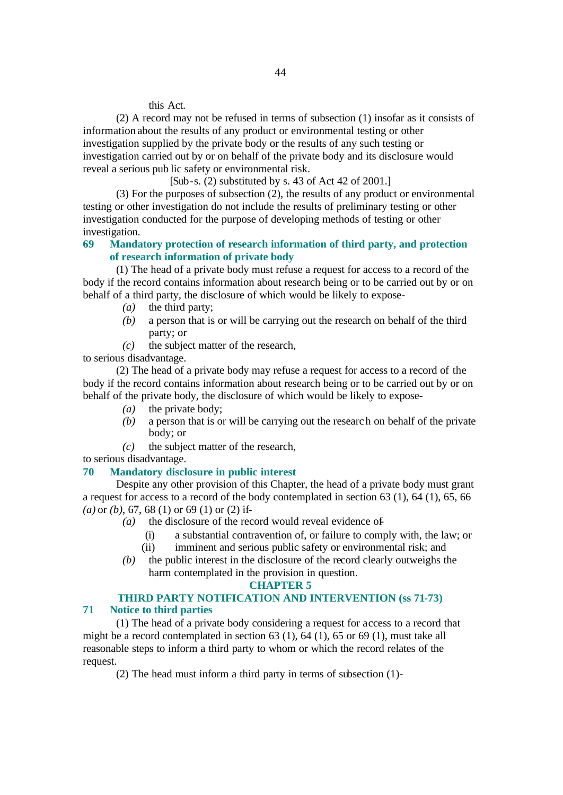#### this Act.

(2) A record may not be refused in terms of subsection (1) insofar as it consists of information about the results of any product or environmental testing or other investigation supplied by the private body or the results of any such testing or investigation carried out by or on behalf of the private body and its disclosure would reveal a serious pub lic safety or environmental risk.

[Sub-s. (2) substituted by s. 43 of Act 42 of 2001.]

(3) For the purposes of subsection (2), the results of any product or environmental testing or other investigation do not include the results of preliminary testing or other investigation conducted for the purpose of developing methods of testing or other investigation.

## **69 Mandatory protection of research information of third party, and protection of research information of private body**

(1) The head of a private body must refuse a request for access to a record of the body if the record contains information about research being or to be carried out by or on behalf of a third party, the disclosure of which would be likely to expose-

- *(a)* the third party;
- *(b)* a person that is or will be carrying out the research on behalf of the third party; or
- *(c)* the subject matter of the research,

to serious disadvantage.

(2) The head of a private body may refuse a request for access to a record of the body if the record contains information about research being or to be carried out by or on behalf of the private body, the disclosure of which would be likely to expose-

- *(a)* the private body;
- *(b)* a person that is or will be carrying out the research on behalf of the private body; or
- *(c)* the subject matter of the research,

to serious disadvantage.

#### **70 Mandatory disclosure in public interest**

Despite any other provision of this Chapter, the head of a private body must grant a request for access to a record of the body contemplated in section 63 (1), 64 (1), 65, 66 *(a)* or *(b)*, 67, 68 (1) or 69 (1) or (2) if-

- *(a)* the disclosure of the record would reveal evidence of-
	- (i) a substantial contravention of, or failure to comply with, the law; or
	- (ii) imminent and serious public safety or environmental risk; and
- *(b)* the public interest in the disclosure of the record clearly outweighs the harm contemplated in the provision in question.

#### **CHAPTER 5**

# **THIRD PARTY NOTIFICATION AND INTERVENTION (ss 71-73)**

#### **71 Notice to third parties**

(1) The head of a private body considering a request for access to a record that might be a record contemplated in section 63 (1), 64 (1), 65 or 69 (1), must take all reasonable steps to inform a third party to whom or which the record relates of the request.

(2) The head must inform a third party in terms of subsection (1)-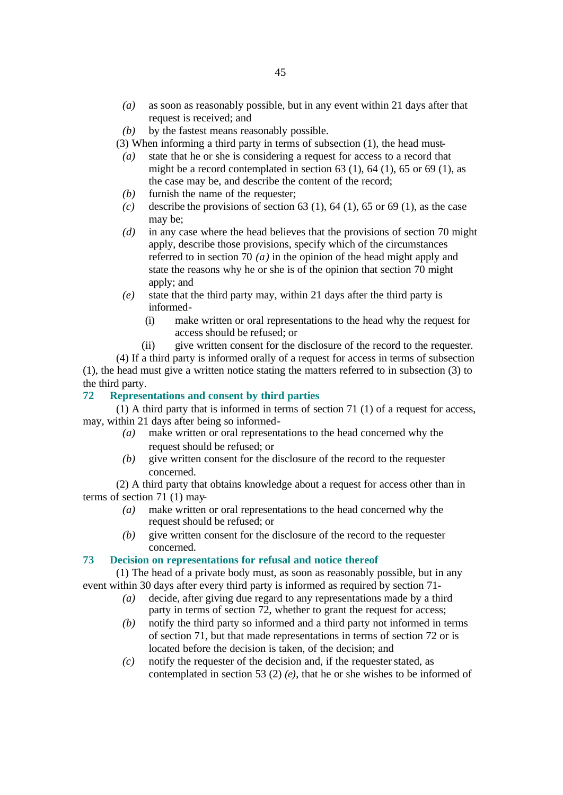- *(a)* as soon as reasonably possible, but in any event within 21 days after that request is received; and
- *(b)* by the fastest means reasonably possible.
- (3) When informing a third party in terms of subsection (1), the head must-
- *(a)* state that he or she is considering a request for access to a record that might be a record contemplated in section  $63$  (1),  $64$  (1),  $65$  or  $69$  (1), as the case may be, and describe the content of the record;
- *(b)* furnish the name of the requester;
- $(c)$  describe the provisions of section 63 (1), 64 (1), 65 or 69 (1), as the case may be;
- *(d)* in any case where the head believes that the provisions of section 70 might apply, describe those provisions, specify which of the circumstances referred to in section 70 *(a)* in the opinion of the head might apply and state the reasons why he or she is of the opinion that section 70 might apply; and
- *(e)* state that the third party may, within 21 days after the third party is informed-
	- (i) make written or oral representations to the head why the request for access should be refused; or
	- (ii) give written consent for the disclosure of the record to the requester.

(4) If a third party is informed orally of a request for access in terms of subsection (1), the head must give a written notice stating the matters referred to in subsection (3) to the third party.

#### **72 Representations and consent by third parties**

(1) A third party that is informed in terms of section 71 (1) of a request for access, may, within 21 days after being so informed-

- *(a)* make written or oral representations to the head concerned why the request should be refused; or
- *(b)* give written consent for the disclosure of the record to the requester concerned.

(2) A third party that obtains knowledge about a request for access other than in terms of section 71 (1) may-

- *(a)* make written or oral representations to the head concerned why the request should be refused; or
- *(b)* give written consent for the disclosure of the record to the requester concerned.

#### **73 Decision on representations for refusal and notice thereof**

(1) The head of a private body must, as soon as reasonably possible, but in any event within 30 days after every third party is informed as required by section 71-

- *(a)* decide, after giving due regard to any representations made by a third party in terms of section 72, whether to grant the request for access;
- *(b)* notify the third party so informed and a third party not informed in terms of section 71, but that made representations in terms of section 72 or is located before the decision is taken, of the decision; and
- *(c)* notify the requester of the decision and, if the requester stated, as contemplated in section 53 (2) *(e)*, that he or she wishes to be informed of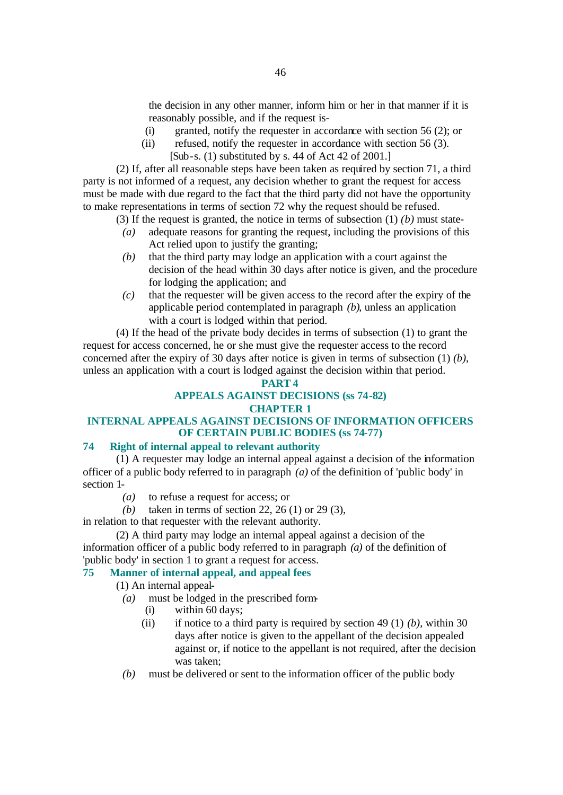the decision in any other manner, inform him or her in that manner if it is reasonably possible, and if the request is-

- (i) granted, notify the requester in accordance with section 56 (2); or
- (ii) refused, notify the requester in accordance with section 56 (3).  $[Sub-s. (1)$  substituted by s. 44 of Act 42 of 2001.

(2) If, after all reasonable steps have been taken as required by section 71, a third party is not informed of a request, any decision whether to grant the request for access must be made with due regard to the fact that the third party did not have the opportunity to make representations in terms of section 72 why the request should be refused.

(3) If the request is granted, the notice in terms of subsection (1) *(b)* must state-

- *(a)* adequate reasons for granting the request, including the provisions of this Act relied upon to justify the granting;
- *(b)* that the third party may lodge an application with a court against the decision of the head within 30 days after notice is given, and the procedure for lodging the application; and
- *(c)* that the requester will be given access to the record after the expiry of the applicable period contemplated in paragraph *(b)*, unless an application with a court is lodged within that period.

(4) If the head of the private body decides in terms of subsection (1) to grant the request for access concerned, he or she must give the requester access to the record concerned after the expiry of 30 days after notice is given in terms of subsection (1) *(b)*, unless an application with a court is lodged against the decision within that period.

#### **PART 4**

# **APPEALS AGAINST DECISIONS (ss 74-82)**

# **CHAPTER 1**

# **INTERNAL APPEALS AGAINST DECISIONS OF INFORMATION OFFICERS OF CERTAIN PUBLIC BODIES (ss 74-77)**

#### **74 Right of internal appeal to relevant authority**

(1) A requester may lodge an internal appeal against a decision of the information officer of a public body referred to in paragraph *(a)* of the definition of 'public body' in section 1-

- *(a)* to refuse a request for access; or
- *(b)* taken in terms of section 22, 26 (1) or 29 (3),

in relation to that requester with the relevant authority.

(2) A third party may lodge an internal appeal against a decision of the information officer of a public body referred to in paragraph *(a)* of the definition of 'public body' in section 1 to grant a request for access.

#### **75 Manner of internal appeal, and appeal fees**

(1) An internal appeal-

- *(a)* must be lodged in the prescribed form-
	- (i) within 60 days;
	- (ii) if notice to a third party is required by section 49 (1) *(b)*, within 30 days after notice is given to the appellant of the decision appealed against or, if notice to the appellant is not required, after the decision was taken;
- *(b)* must be delivered or sent to the information officer of the public body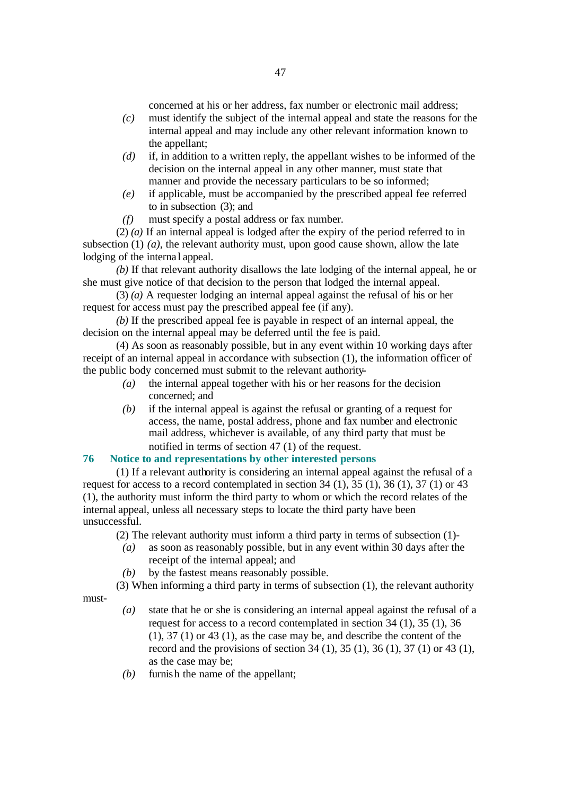concerned at his or her address, fax number or electronic mail address;

- *(c)* must identify the subject of the internal appeal and state the reasons for the internal appeal and may include any other relevant information known to the appellant;
- *(d)* if, in addition to a written reply, the appellant wishes to be informed of the decision on the internal appeal in any other manner, must state that manner and provide the necessary particulars to be so informed;
- *(e)* if applicable, must be accompanied by the prescribed appeal fee referred to in subsection (3); and
- *(f)* must specify a postal address or fax number.

(2) *(a)* If an internal appeal is lodged after the expiry of the period referred to in subsection  $(1)$   $(a)$ , the relevant authority must, upon good cause shown, allow the late lodging of the internal appeal.

*(b)* If that relevant authority disallows the late lodging of the internal appeal, he or she must give notice of that decision to the person that lodged the internal appeal.

(3) *(a)* A requester lodging an internal appeal against the refusal of his or her request for access must pay the prescribed appeal fee (if any).

*(b)* If the prescribed appeal fee is payable in respect of an internal appeal, the decision on the internal appeal may be deferred until the fee is paid.

(4) As soon as reasonably possible, but in any event within 10 working days after receipt of an internal appeal in accordance with subsection (1), the information officer of the public body concerned must submit to the relevant authority-

- *(a)* the internal appeal together with his or her reasons for the decision concerned; and
- *(b)* if the internal appeal is against the refusal or granting of a request for access, the name, postal address, phone and fax number and electronic mail address, whichever is available, of any third party that must be notified in terms of section 47 (1) of the request.

# **76 Notice to and representations by other interested persons**

(1) If a relevant authority is considering an internal appeal against the refusal of a request for access to a record contemplated in section 34 (1), 35 (1), 36 (1), 37 (1) or 43 (1), the authority must inform the third party to whom or which the record relates of the internal appeal, unless all necessary steps to locate the third party have been unsuccessful.

(2) The relevant authority must inform a third party in terms of subsection (1)-

- *(a)* as soon as reasonably possible, but in any event within 30 days after the receipt of the internal appeal; and
- *(b)* by the fastest means reasonably possible.

(3) When informing a third party in terms of subsection (1), the relevant authority must-

- *(a)* state that he or she is considering an internal appeal against the refusal of a request for access to a record contemplated in section 34 (1), 35 (1), 36 (1), 37 (1) or 43 (1), as the case may be, and describe the content of the record and the provisions of section 34 (1), 35 (1), 36 (1), 37 (1) or 43 (1), as the case may be;
- *(b)* furnish the name of the appellant;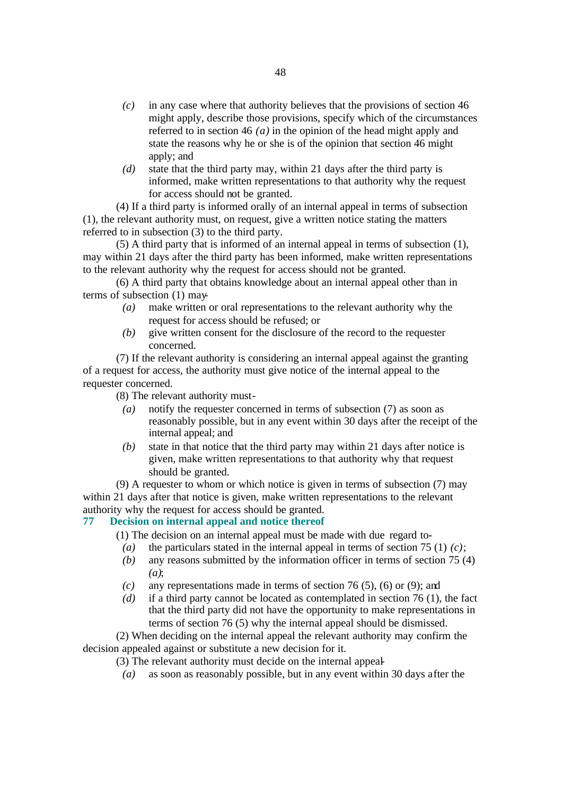- *(c)* in any case where that authority believes that the provisions of section 46 might apply, describe those provisions, specify which of the circumstances referred to in section 46 *(a)* in the opinion of the head might apply and state the reasons why he or she is of the opinion that section 46 might apply; and
- *(d)* state that the third party may, within 21 days after the third party is informed, make written representations to that authority why the request for access should not be granted.

(4) If a third party is informed orally of an internal appeal in terms of subsection (1), the relevant authority must, on request, give a written notice stating the matters referred to in subsection (3) to the third party.

(5) A third party that is informed of an internal appeal in terms of subsection (1), may within 21 days after the third party has been informed, make written representations to the relevant authority why the request for access should not be granted.

(6) A third party that obtains knowledge about an internal appeal other than in terms of subsection (1) may-

- *(a)* make written or oral representations to the relevant authority why the request for access should be refused; or
- *(b)* give written consent for the disclosure of the record to the requester concerned.

(7) If the relevant authority is considering an internal appeal against the granting of a request for access, the authority must give notice of the internal appeal to the requester concerned.

(8) The relevant authority must-

- *(a)* notify the requester concerned in terms of subsection (7) as soon as reasonably possible, but in any event within 30 days after the receipt of the internal appeal; and
- *(b)* state in that notice that the third party may within 21 days after notice is given, make written representations to that authority why that request should be granted.

(9) A requester to whom or which notice is given in terms of subsection (7) may within 21 days after that notice is given, make written representations to the relevant authority why the request for access should be granted.

# **77 Decision on internal appeal and notice thereof**

(1) The decision on an internal appeal must be made with due regard to-

- *(a)* the particulars stated in the internal appeal in terms of section 75 (1) *(c)*;
- *(b)* any reasons submitted by the information officer in terms of section 75 (4) *(a)*;
- *(c)* any representations made in terms of section 76 (5), (6) or (9); and
- *(d)* if a third party cannot be located as contemplated in section 76 (1), the fact that the third party did not have the opportunity to make representations in terms of section 76 (5) why the internal appeal should be dismissed.

(2) When deciding on the internal appeal the relevant authority may confirm the decision appealed against or substitute a new decision for it.

(3) The relevant authority must decide on the internal appeal-

*(a)* as soon as reasonably possible, but in any event within 30 days after the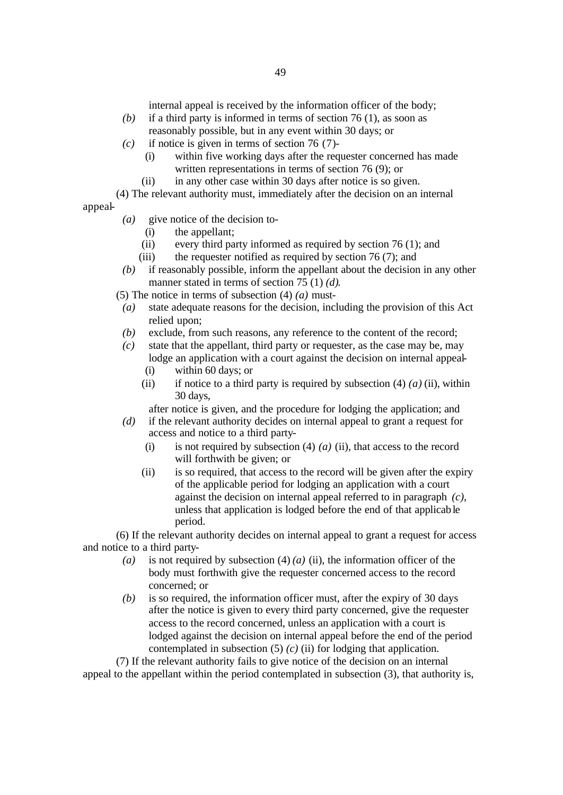internal appeal is received by the information officer of the body;

- *(b)* if a third party is informed in terms of section 76 (1), as soon as reasonably possible, but in any event within 30 days; or
- *(c)* if notice is given in terms of section 76 (7)-
	- (i) within five working days after the requester concerned has made written representations in terms of section 76 (9); or
	- (ii) in any other case within 30 days after notice is so given.

(4) The relevant authority must, immediately after the decision on an internal

appeal-

- *(a)* give notice of the decision to-
	- (i) the appellant;
	- (ii) every third party informed as required by section 76 (1); and
	- (iii) the requester notified as required by section  $76(7)$ ; and
- *(b)* if reasonably possible, inform the appellant about the decision in any other manner stated in terms of section 75 (1) *(d)*.
- (5) The notice in terms of subsection (4) *(a)* must-
	- *(a)* state adequate reasons for the decision, including the provision of this Act relied upon;
	- *(b)* exclude, from such reasons, any reference to the content of the record;
- *(c)* state that the appellant, third party or requester, as the case may be, may lodge an application with a court against the decision on internal appeal-
	- (i) within 60 days; or
	- (ii) if notice to a third party is required by subsection  $(4)$   $(a)$   $(ii)$ , within 30 days,

after notice is given, and the procedure for lodging the application; and

- *(d)* if the relevant authority decides on internal appeal to grant a request for access and notice to a third party-
	- (i) is not required by subsection (4)  $(a)$  (ii), that access to the record will forthwith be given; or
	- (ii) is so required, that access to the record will be given after the expiry of the applicable period for lodging an application with a court against the decision on internal appeal referred to in paragraph *(c)*, unless that application is lodged before the end of that applicable period.

(6) If the relevant authority decides on internal appeal to grant a request for access and notice to a third party-

- (a) is not required by subsection (4) *(a)* (ii), the information officer of the body must forthwith give the requester concerned access to the record concerned; or
- *(b)* is so required, the information officer must, after the expiry of 30 days after the notice is given to every third party concerned, give the requester access to the record concerned, unless an application with a court is lodged against the decision on internal appeal before the end of the period contemplated in subsection  $(5)$   $(c)$   $(ii)$  for lodging that application.

(7) If the relevant authority fails to give notice of the decision on an internal appeal to the appellant within the period contemplated in subsection (3), that authority is,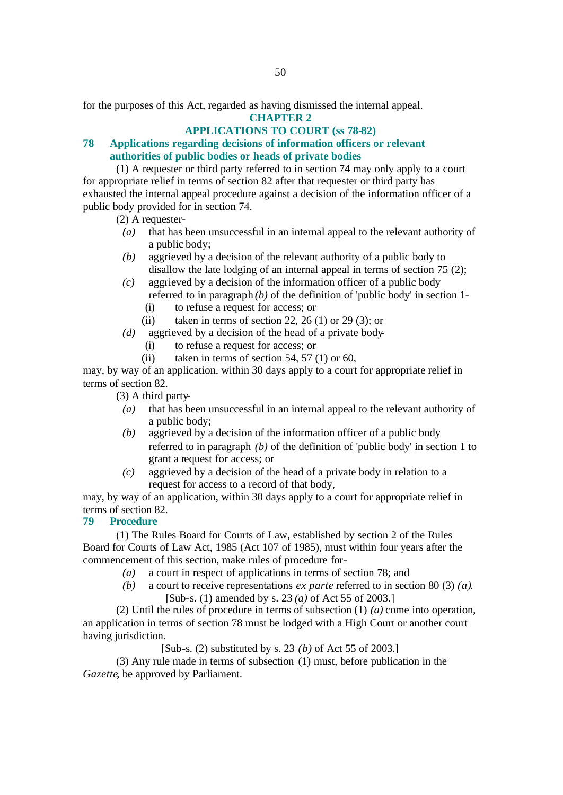for the purposes of this Act, regarded as having dismissed the internal appeal.

# **CHAPTER 2**

# **APPLICATIONS TO COURT (ss 78-82)**

# **78 Applications regarding decisions of information officers or relevant authorities of public bodies or heads of private bodies**

(1) A requester or third party referred to in section 74 may only apply to a court for appropriate relief in terms of section 82 after that requester or third party has exhausted the internal appeal procedure against a decision of the information officer of a public body provided for in section 74.

(2) A requester-

- *(a)* that has been unsuccessful in an internal appeal to the relevant authority of a public body;
- *(b)* aggrieved by a decision of the relevant authority of a public body to disallow the late lodging of an internal appeal in terms of section 75 (2);
- *(c)* aggrieved by a decision of the information officer of a public body referred to in paragraph  $(b)$  of the definition of 'public body' in section 1-
	- (i) to refuse a request for access; or
	- (ii) taken in terms of section 22, 26 (1) or 29 (3); or
- *(d)* aggrieved by a decision of the head of a private body-
	- (i) to refuse a request for access; or
	- (ii) taken in terms of section 54, 57 (1) or 60,

may, by way of an application, within 30 days apply to a court for appropriate relief in terms of section 82.

(3) A third party-

- *(a)* that has been unsuccessful in an internal appeal to the relevant authority of a public body;
- *(b)* aggrieved by a decision of the information officer of a public body referred to in paragraph *(b)* of the definition of 'public body' in section 1 to grant a request for access; or
- *(c)* aggrieved by a decision of the head of a private body in relation to a request for access to a record of that body,

may, by way of an application, within 30 days apply to a court for appropriate relief in terms of section 82.

#### **79 Procedure**

(1) The Rules Board for Courts of Law, established by section 2 of the Rules Board for Courts of Law Act, 1985 (Act 107 of 1985), must within four years after the commencement of this section, make rules of procedure for-

- *(a)* a court in respect of applications in terms of section 78; and
- *(b)* a court to receive representations *ex parte* referred to in section 80 (3) *(a)*. [Sub-s. (1) amended by s. 23 *(a)* of Act 55 of 2003.]

(2) Until the rules of procedure in terms of subsection (1) *(a)* come into operation, an application in terms of section 78 must be lodged with a High Court or another court having jurisdiction.

[Sub-s. (2) substituted by s. 23 *(b)* of Act 55 of 2003.]

(3) Any rule made in terms of subsection (1) must, before publication in the *Gazette*, be approved by Parliament.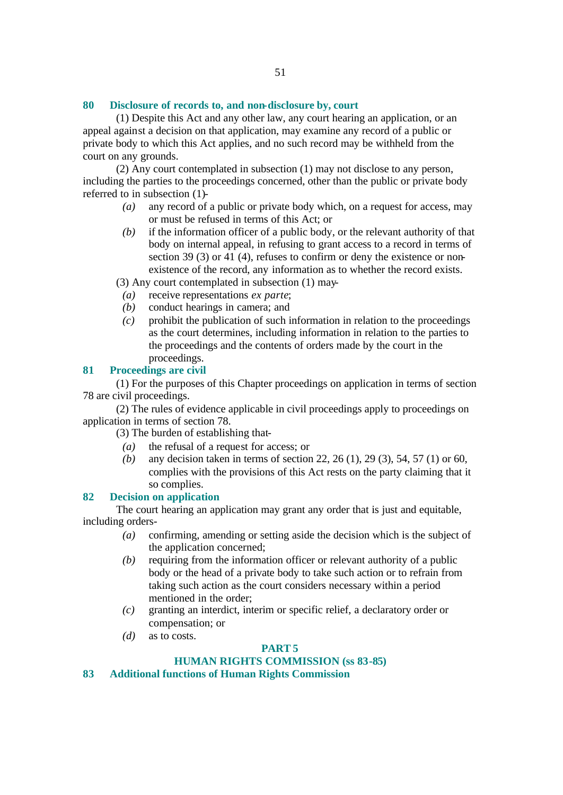#### **80 Disclosure of records to, and non-disclosure by, court**

(1) Despite this Act and any other law, any court hearing an application, or an appeal against a decision on that application, may examine any record of a public or private body to which this Act applies, and no such record may be withheld from the court on any grounds.

(2) Any court contemplated in subsection (1) may not disclose to any person, including the parties to the proceedings concerned, other than the public or private body referred to in subsection (1)-

- *(a)* any record of a public or private body which, on a request for access, may or must be refused in terms of this Act; or
- *(b)* if the information officer of a public body, or the relevant authority of that body on internal appeal, in refusing to grant access to a record in terms of section 39 (3) or 41 (4), refuses to confirm or deny the existence or nonexistence of the record, any information as to whether the record exists.

(3) Any court contemplated in subsection (1) may-

- *(a)* receive representations *ex parte*;
- *(b)* conduct hearings in camera; and
- $(c)$  prohibit the publication of such information in relation to the proceedings as the court determines, including information in relation to the parties to the proceedings and the contents of orders made by the court in the proceedings.

# **81 Proceedings are civil**

(1) For the purposes of this Chapter proceedings on application in terms of section 78 are civil proceedings.

(2) The rules of evidence applicable in civil proceedings apply to proceedings on application in terms of section 78.

(3) The burden of establishing that-

- *(a)* the refusal of a request for access; or
- *(b)* any decision taken in terms of section 22, 26 (1), 29 (3), 54, 57 (1) or 60, complies with the provisions of this Act rests on the party claiming that it so complies.

# **82 Decision on application**

The court hearing an application may grant any order that is just and equitable, including orders-

- *(a)* confirming, amending or setting aside the decision which is the subject of the application concerned;
- *(b)* requiring from the information officer or relevant authority of a public body or the head of a private body to take such action or to refrain from taking such action as the court considers necessary within a period mentioned in the order;
- *(c)* granting an interdict, interim or specific relief, a declaratory order or compensation; or
- *(d)* as to costs.

# **PART 5**

**HUMAN RIGHTS COMMISSION (ss 83-85)**

**83 Additional functions of Human Rights Commission**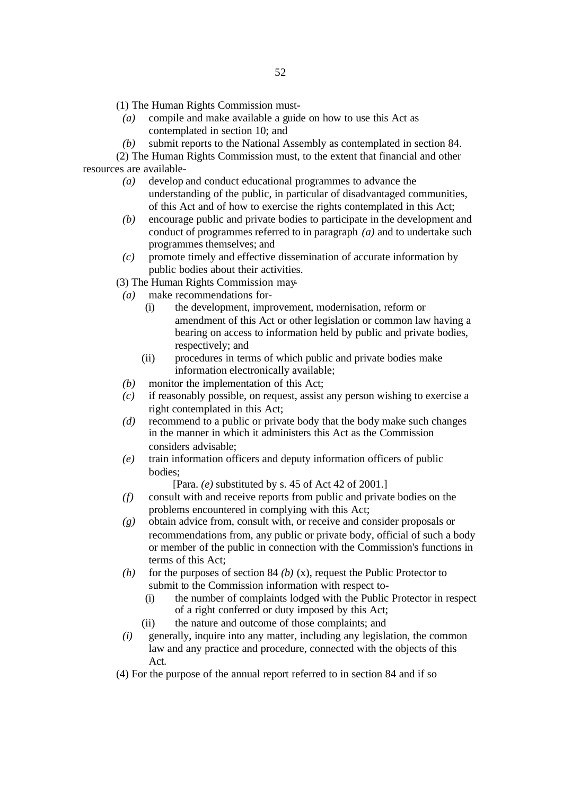- (1) The Human Rights Commission must-
- *(a)* compile and make available a guide on how to use this Act as contemplated in section 10; and
- *(b)* submit reports to the National Assembly as contemplated in section 84.

(2) The Human Rights Commission must, to the extent that financial and other resources are available-

- *(a)* develop and conduct educational programmes to advance the understanding of the public, in particular of disadvantaged communities, of this Act and of how to exercise the rights contemplated in this Act;
- *(b)* encourage public and private bodies to participate in the development and conduct of programmes referred to in paragraph *(a)* and to undertake such programmes themselves; and
- *(c)* promote timely and effective dissemination of accurate information by public bodies about their activities.
- (3) The Human Rights Commission may-
- *(a)* make recommendations for-
	- (i) the development, improvement, modernisation, reform or amendment of this Act or other legislation or common law having a bearing on access to information held by public and private bodies, respectively; and
	- (ii) procedures in terms of which public and private bodies make information electronically available;
- *(b)* monitor the implementation of this Act;
- *(c)* if reasonably possible, on request, assist any person wishing to exercise a right contemplated in this Act;
- *(d)* recommend to a public or private body that the body make such changes in the manner in which it administers this Act as the Commission considers advisable;
- *(e)* train information officers and deputy information officers of public bodies;

[Para. *(e)* substituted by s. 45 of Act 42 of 2001.]

- *(f)* consult with and receive reports from public and private bodies on the problems encountered in complying with this Act;
- *(g)* obtain advice from, consult with, or receive and consider proposals or recommendations from, any public or private body, official of such a body or member of the public in connection with the Commission's functions in terms of this Act;
- *(h)* for the purposes of section 84 *(b)* (x), request the Public Protector to submit to the Commission information with respect to-
	- (i) the number of complaints lodged with the Public Protector in respect of a right conferred or duty imposed by this Act;
	- (ii) the nature and outcome of those complaints; and
- *(i)* generally, inquire into any matter, including any legislation, the common law and any practice and procedure, connected with the objects of this Act.
- (4) For the purpose of the annual report referred to in section 84 and if so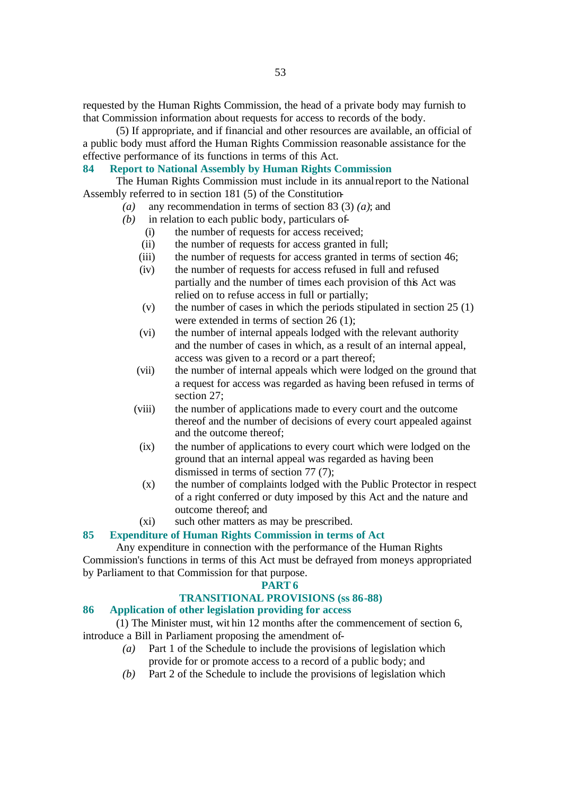requested by the Human Rights Commission, the head of a private body may furnish to that Commission information about requests for access to records of the body.

(5) If appropriate, and if financial and other resources are available, an official of a public body must afford the Human Rights Commission reasonable assistance for the effective performance of its functions in terms of this Act.

#### **84 Report to National Assembly by Human Rights Commission**

The Human Rights Commission must include in its annual report to the National Assembly referred to in section 181 (5) of the Constitution-

- *(a)* any recommendation in terms of section 83 (3) *(a)*; and
- *(b)* in relation to each public body, particulars of-
	- (i) the number of requests for access received;
	- (ii) the number of requests for access granted in full;
	- (iii) the number of requests for access granted in terms of section 46;
	- (iv) the number of requests for access refused in full and refused partially and the number of times each provision of this Act was relied on to refuse access in full or partially;
	- (v) the number of cases in which the periods stipulated in section  $25(1)$ were extended in terms of section 26 (1):
	- (vi) the number of internal appeals lodged with the relevant authority and the number of cases in which, as a result of an internal appeal, access was given to a record or a part thereof;
	- (vii) the number of internal appeals which were lodged on the ground that a request for access was regarded as having been refused in terms of section 27;
	- (viii) the number of applications made to every court and the outcome thereof and the number of decisions of every court appealed against and the outcome thereof;
		- (ix) the number of applications to every court which were lodged on the ground that an internal appeal was regarded as having been dismissed in terms of section 77 (7);
		- (x) the number of complaints lodged with the Public Protector in respect of a right conferred or duty imposed by this Act and the nature and outcome thereof; and
		- (xi) such other matters as may be prescribed.

# **85 Expenditure of Human Rights Commission in terms of Act**

Any expenditure in connection with the performance of the Human Rights Commission's functions in terms of this Act must be defrayed from moneys appropriated by Parliament to that Commission for that purpose.

#### **PART 6**

# **TRANSITIONAL PROVISIONS (ss 86-88)**

# **86 Application of other legislation providing for access**

(1) The Minister must, wit hin 12 months after the commencement of section 6, introduce a Bill in Parliament proposing the amendment of-

- *(a)* Part 1 of the Schedule to include the provisions of legislation which provide for or promote access to a record of a public body; and
- *(b)* Part 2 of the Schedule to include the provisions of legislation which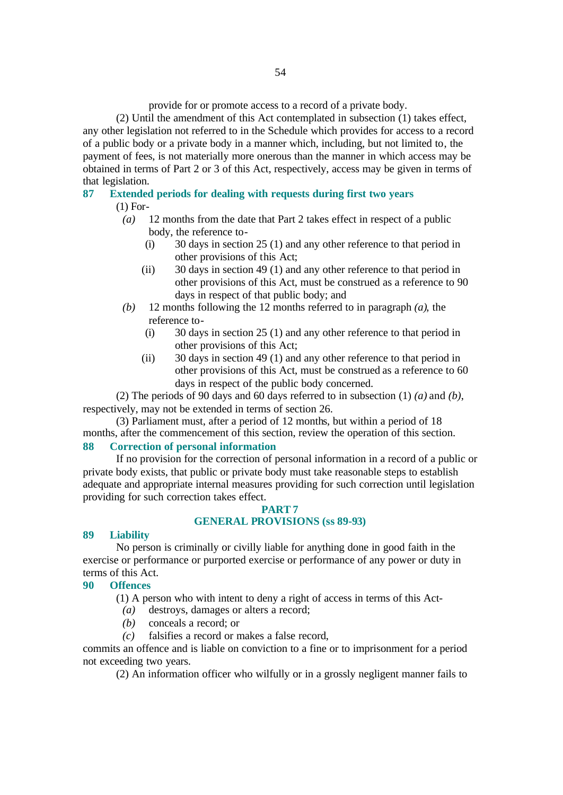provide for or promote access to a record of a private body.

(2) Until the amendment of this Act contemplated in subsection (1) takes effect, any other legislation not referred to in the Schedule which provides for access to a record of a public body or a private body in a manner which, including, but not limited to, the payment of fees, is not materially more onerous than the manner in which access may be obtained in terms of Part 2 or 3 of this Act, respectively, access may be given in terms of that legislation.

# **87 Extended periods for dealing with requests during first two years**

(1) For-

- *(a)* 12 months from the date that Part 2 takes effect in respect of a public body, the reference to-
	- (i) 30 days in section 25 (1) and any other reference to that period in other provisions of this Act;
	- (ii) 30 days in section 49 (1) and any other reference to that period in other provisions of this Act, must be construed as a reference to 90 days in respect of that public body; and
- *(b)* 12 months following the 12 months referred to in paragraph *(a)*, the reference to-
	- (i) 30 days in section 25 (1) and any other reference to that period in other provisions of this Act;
	- (ii) 30 days in section 49 (1) and any other reference to that period in other provisions of this Act, must be construed as a reference to 60 days in respect of the public body concerned.

(2) The periods of 90 days and 60 days referred to in subsection (1) *(a)* and *(b)*, respectively, may not be extended in terms of section 26.

(3) Parliament must, after a period of 12 months, but within a period of 18 months, after the commencement of this section, review the operation of this section.

## **88 Correction of personal information**

If no provision for the correction of personal information in a record of a public or private body exists, that public or private body must take reasonable steps to establish adequate and appropriate internal measures providing for such correction until legislation providing for such correction takes effect.

#### **PART 7 GENERAL PROVISIONS (ss 89-93)**

# **89 Liability**

No person is criminally or civilly liable for anything done in good faith in the exercise or performance or purported exercise or performance of any power or duty in terms of this Act.

# **90 Offences**

(1) A person who with intent to deny a right of access in terms of this Act-

- *(a)* destroys, damages or alters a record;
- *(b)* conceals a record; or
- *(c)* falsifies a record or makes a false record,

commits an offence and is liable on conviction to a fine or to imprisonment for a period not exceeding two years.

(2) An information officer who wilfully or in a grossly negligent manner fails to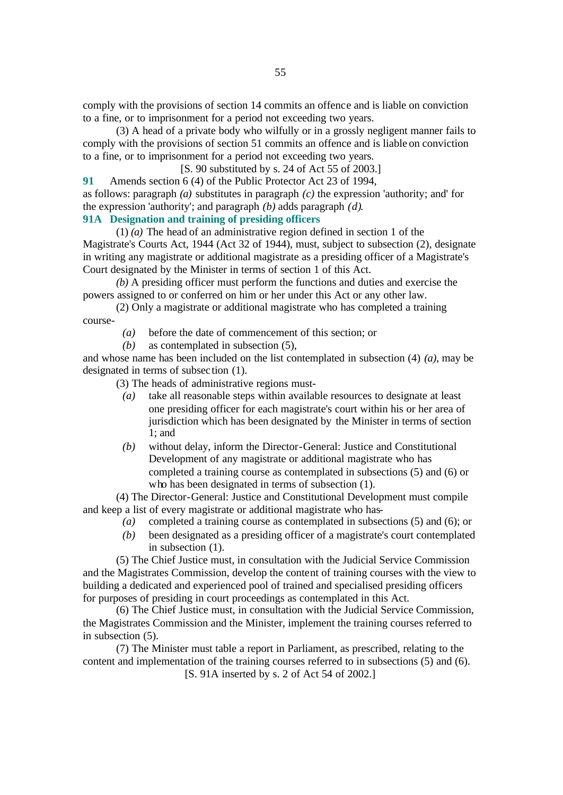comply with the provisions of section 14 commits an offence and is liable on conviction to a fine, or to imprisonment for a period not exceeding two years.

(3) A head of a private body who wilfully or in a grossly negligent manner fails to comply with the provisions of section 51 commits an offence and is liable on conviction to a fine, or to imprisonment for a period not exceeding two years.

[S. 90 substituted by s. 24 of Act 55 of 2003.]

**91** Amends section 6 (4) of the Public Protector Act 23 of 1994, as follows: paragraph *(a)* substitutes in paragraph *(c)* the expression 'authority; and' for the expression 'authority'; and paragraph *(b)* adds paragraph *(d)*. **91A Designation and training of presiding officers**

(1) *(a)* The head of an administrative region defined in section 1 of the Magistrate's Courts Act, 1944 (Act 32 of 1944), must, subject to subsection (2), designate in writing any magistrate or additional magistrate as a presiding officer of a Magistrate's Court designated by the Minister in terms of section 1 of this Act.

*(b)* A presiding officer must perform the functions and duties and exercise the powers assigned to or conferred on him or her under this Act or any other law.

(2) Only a magistrate or additional magistrate who has completed a training course-

- *(a)* before the date of commencement of this section; or
- *(b)* as contemplated in subsection (5),

and whose name has been included on the list contemplated in subsection (4) *(a)*, may be designated in terms of subsec tion (1).

(3) The heads of administrative regions must-

- *(a)* take all reasonable steps within available resources to designate at least one presiding officer for each magistrate's court within his or her area of jurisdiction which has been designated by the Minister in terms of section 1; and
- *(b)* without delay, inform the Director-General: Justice and Constitutional Development of any magistrate or additional magistrate who has completed a training course as contemplated in subsections (5) and (6) or who has been designated in terms of subsection  $(1)$ .

(4) The Director-General: Justice and Constitutional Development must compile and keep a list of every magistrate or additional magistrate who has-

- *(a)* completed a training course as contemplated in subsections (5) and (6); or
- *(b)* been designated as a presiding officer of a magistrate's court contemplated in subsection (1).

(5) The Chief Justice must, in consultation with the Judicial Service Commission and the Magistrates Commission, develop the content of training courses with the view to building a dedicated and experienced pool of trained and specialised presiding officers for purposes of presiding in court proceedings as contemplated in this Act.

(6) The Chief Justice must, in consultation with the Judicial Service Commission, the Magistrates Commission and the Minister, implement the training courses referred to in subsection (5).

(7) The Minister must table a report in Parliament, as prescribed, relating to the content and implementation of the training courses referred to in subsections (5) and (6). [S. 91A inserted by s. 2 of Act 54 of 2002.]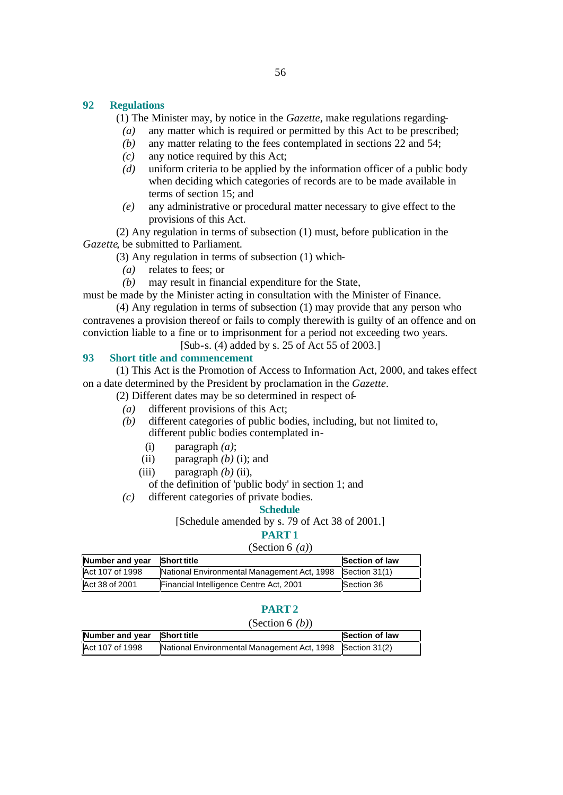#### **92 Regulations**

(1) The Minister may, by notice in the *Gazette*, make regulations regarding-

- *(a)* any matter which is required or permitted by this Act to be prescribed;
- *(b)* any matter relating to the fees contemplated in sections 22 and 54;
- *(c)* any notice required by this Act;
- *(d)* uniform criteria to be applied by the information officer of a public body when deciding which categories of records are to be made available in terms of section 15; and
- *(e)* any administrative or procedural matter necessary to give effect to the provisions of this Act.

(2) Any regulation in terms of subsection (1) must, before publication in the *Gazette*, be submitted to Parliament.

(3) Any regulation in terms of subsection (1) which-

- *(a)* relates to fees; or
- *(b)* may result in financial expenditure for the State,

must be made by the Minister acting in consultation with the Minister of Finance. (4) Any regulation in terms of subsection (1) may provide that any person who

contravenes a provision thereof or fails to comply therewith is guilty of an offence and on conviction liable to a fine or to imprisonment for a period not exceeding two years.

[Sub-s. (4) added by s. 25 of Act 55 of 2003.]

# **93 Short title and commencement**

(1) This Act is the Promotion of Access to Information Act, 2000, and takes effect on a date determined by the President by proclamation in the *Gazette*.

- (2) Different dates may be so determined in respect of-
	- *(a)* different provisions of this Act;
	- *(b)* different categories of public bodies, including, but not limited to, different public bodies contemplated in-
		- (i) paragraph *(a)*;
		- (ii) paragraph  $(b)$  (i); and
		- $(iii)$  paragraph  $(b)$   $(ii)$ ,

of the definition of 'public body' in section 1; and

*(c)* different categories of private bodies.

#### **Schedule**

[Schedule amended by s. 79 of Act 38 of 2001.]

# **PART 1**

#### (Section 6 *(a)*)

| <b>Number and year</b> | <b>Short title</b>                          | Section of law |
|------------------------|---------------------------------------------|----------------|
| Act 107 of 1998        | National Environmental Management Act, 1998 | Section 31(1)  |
| Act 38 of 2001         | Financial Intelligence Centre Act, 2001     | Section 36     |

#### **PART 2**

#### (Section 6 *(b)*)

| Number and year Short title |                                                           | <b>Section of law</b> |
|-----------------------------|-----------------------------------------------------------|-----------------------|
| Act 107 of 1998             | National Environmental Management Act, 1998 Section 31(2) |                       |